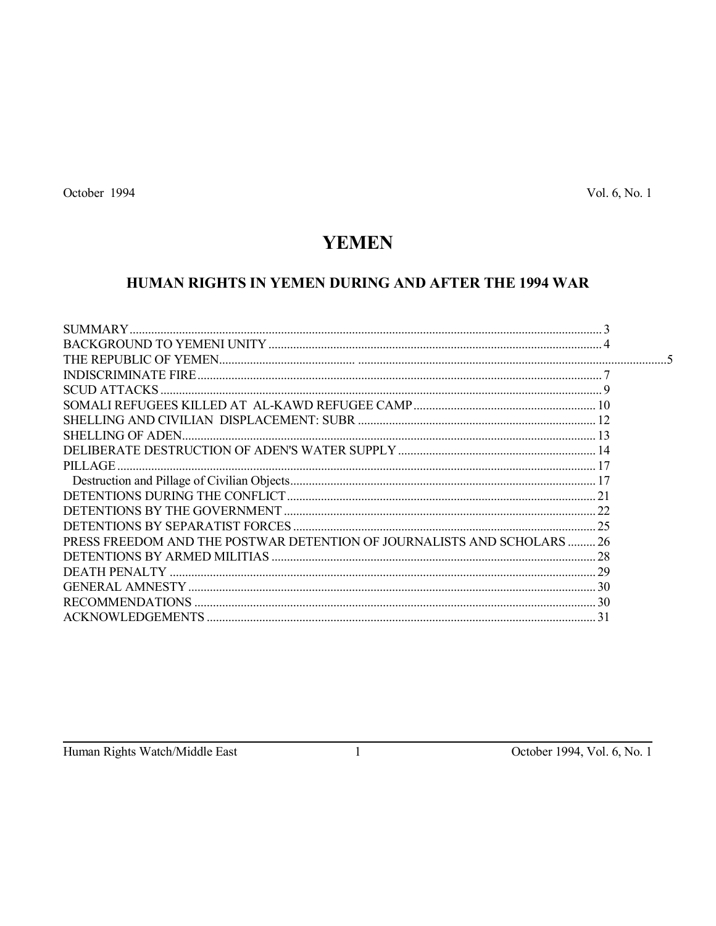# **YEMEN**

## HUMAN RIGHTS IN YEMEN DURING AND AFTER THE 1994 WAR

| <b>SCUD ATTACKS.</b>                                                    |  |
|-------------------------------------------------------------------------|--|
|                                                                         |  |
|                                                                         |  |
|                                                                         |  |
|                                                                         |  |
| PILLAGE.                                                                |  |
|                                                                         |  |
|                                                                         |  |
|                                                                         |  |
|                                                                         |  |
| PRESS FREEDOM AND THE POSTWAR DETENTION OF JOURNALISTS AND SCHOLARS  26 |  |
|                                                                         |  |
|                                                                         |  |
|                                                                         |  |
|                                                                         |  |
|                                                                         |  |
|                                                                         |  |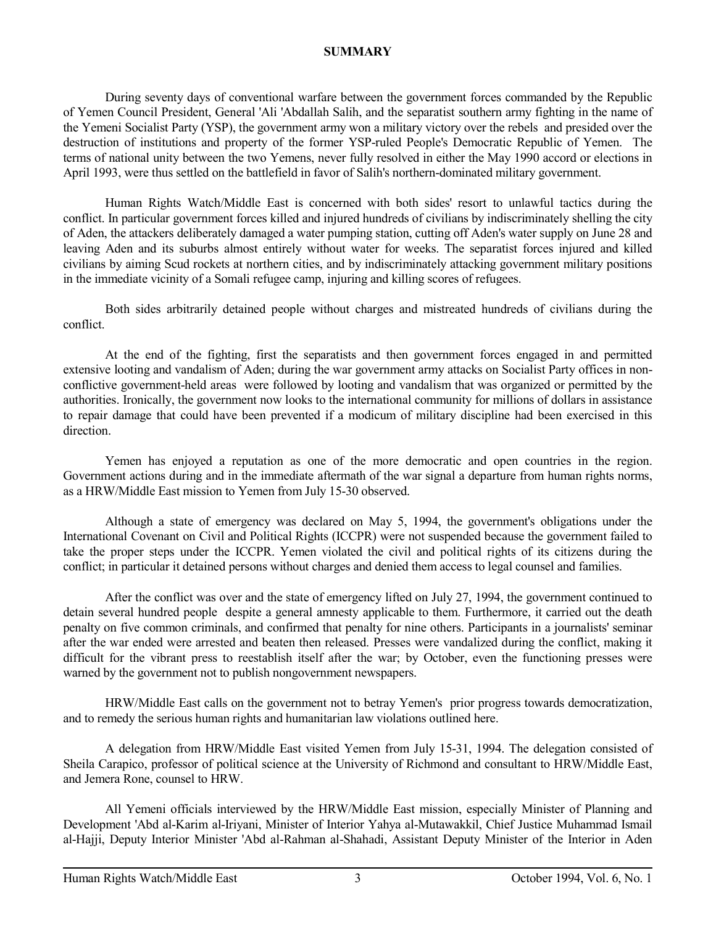## **SUMMARY**

 During seventy days of conventional warfare between the government forces commanded by the Republic of Yemen Council President, General 'Ali 'Abdallah Salih, and the separatist southern army fighting in the name of the Yemeni Socialist Party (YSP), the government army won a military victory over the rebels and presided over the destruction of institutions and property of the former YSP-ruled People's Democratic Republic of Yemen. The terms of national unity between the two Yemens, never fully resolved in either the May 1990 accord or elections in April 1993, were thus settled on the battlefield in favor of Salih's northern-dominated military government.

 Human Rights Watch/Middle East is concerned with both sides' resort to unlawful tactics during the conflict. In particular government forces killed and injured hundreds of civilians by indiscriminately shelling the city of Aden, the attackers deliberately damaged a water pumping station, cutting off Aden's water supply on June 28 and leaving Aden and its suburbs almost entirely without water for weeks. The separatist forces injured and killed civilians by aiming Scud rockets at northern cities, and by indiscriminately attacking government military positions in the immediate vicinity of a Somali refugee camp, injuring and killing scores of refugees.

 Both sides arbitrarily detained people without charges and mistreated hundreds of civilians during the conflict.

 At the end of the fighting, first the separatists and then government forces engaged in and permitted extensive looting and vandalism of Aden; during the war government army attacks on Socialist Party offices in nonconflictive government-held areas were followed by looting and vandalism that was organized or permitted by the authorities. Ironically, the government now looks to the international community for millions of dollars in assistance to repair damage that could have been prevented if a modicum of military discipline had been exercised in this direction.

 Yemen has enjoyed a reputation as one of the more democratic and open countries in the region. Government actions during and in the immediate aftermath of the war signal a departure from human rights norms, as a HRW/Middle East mission to Yemen from July 15-30 observed.

 Although a state of emergency was declared on May 5, 1994, the government's obligations under the International Covenant on Civil and Political Rights (ICCPR) were not suspended because the government failed to take the proper steps under the ICCPR. Yemen violated the civil and political rights of its citizens during the conflict; in particular it detained persons without charges and denied them access to legal counsel and families.

 After the conflict was over and the state of emergency lifted on July 27, 1994, the government continued to detain several hundred people despite a general amnesty applicable to them. Furthermore, it carried out the death penalty on five common criminals, and confirmed that penalty for nine others. Participants in a journalists' seminar after the war ended were arrested and beaten then released. Presses were vandalized during the conflict, making it difficult for the vibrant press to reestablish itself after the war; by October, even the functioning presses were warned by the government not to publish nongovernment newspapers.

 HRW/Middle East calls on the government not to betray Yemen's prior progress towards democratization, and to remedy the serious human rights and humanitarian law violations outlined here.

 A delegation from HRW/Middle East visited Yemen from July 15-31, 1994. The delegation consisted of Sheila Carapico, professor of political science at the University of Richmond and consultant to HRW/Middle East, and Jemera Rone, counsel to HRW.

 All Yemeni officials interviewed by the HRW/Middle East mission, especially Minister of Planning and Development 'Abd al-Karim al-Iriyani, Minister of Interior Yahya al-Mutawakkil, Chief Justice Muhammad Ismail al-Hajji, Deputy Interior Minister 'Abd al-Rahman al-Shahadi, Assistant Deputy Minister of the Interior in Aden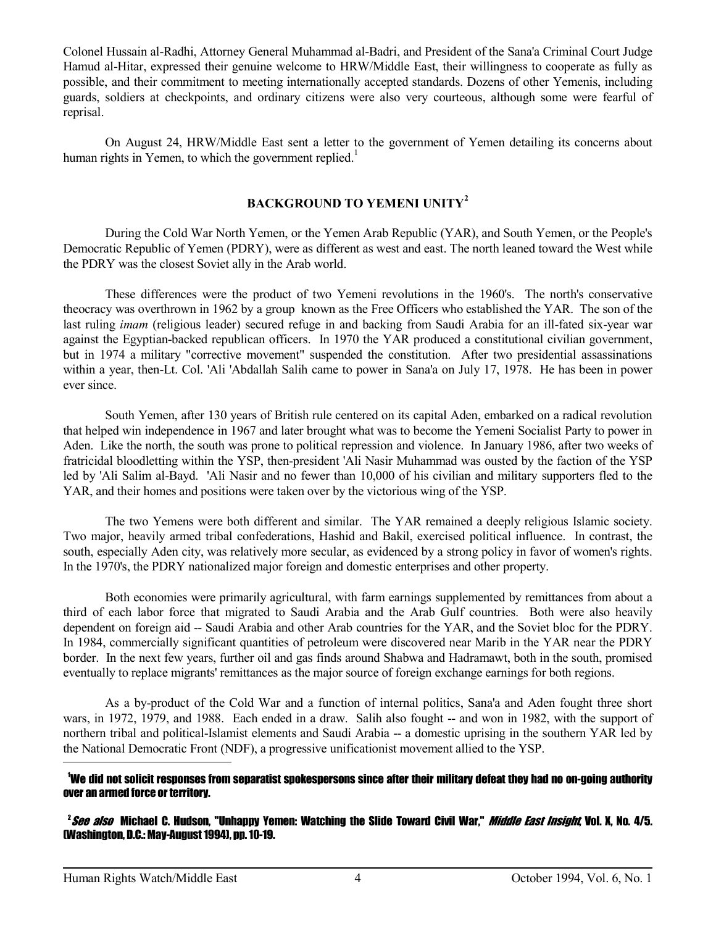Colonel Hussain al-Radhi, Attorney General Muhammad al-Badri, and President of the Sana'a Criminal Court Judge Hamud al-Hitar, expressed their genuine welcome to HRW/Middle East, their willingness to cooperate as fully as possible, and their commitment to meeting internationally accepted standards. Dozens of other Yemenis, including guards, soldiers at checkpoints, and ordinary citizens were also very courteous, although some were fearful of reprisal.

 On August 24, HRW/Middle East sent a letter to the government of Yemen detailing its concerns about human rights in Yemen, to which the government replied.<sup>1</sup>

## **BACKGROUND TO YEMENI UNITY<sup>2</sup>**

 During the Cold War North Yemen, or the Yemen Arab Republic (YAR), and South Yemen, or the People's Democratic Republic of Yemen (PDRY), were as different as west and east. The north leaned toward the West while the PDRY was the closest Soviet ally in the Arab world.

 These differences were the product of two Yemeni revolutions in the 1960's. The north's conservative theocracy was overthrown in 1962 by a group known as the Free Officers who established the YAR. The son of the last ruling *imam* (religious leader) secured refuge in and backing from Saudi Arabia for an ill-fated six-year war against the Egyptian-backed republican officers. In 1970 the YAR produced a constitutional civilian government, but in 1974 a military "corrective movement" suspended the constitution. After two presidential assassinations within a year, then-Lt. Col. 'Ali 'Abdallah Salih came to power in Sana'a on July 17, 1978. He has been in power ever since.

 South Yemen, after 130 years of British rule centered on its capital Aden, embarked on a radical revolution that helped win independence in 1967 and later brought what was to become the Yemeni Socialist Party to power in Aden. Like the north, the south was prone to political repression and violence. In January 1986, after two weeks of fratricidal bloodletting within the YSP, then-president 'Ali Nasir Muhammad was ousted by the faction of the YSP led by 'Ali Salim al-Bayd. 'Ali Nasir and no fewer than 10,000 of his civilian and military supporters fled to the YAR, and their homes and positions were taken over by the victorious wing of the YSP.

 The two Yemens were both different and similar. The YAR remained a deeply religious Islamic society. Two major, heavily armed tribal confederations, Hashid and Bakil, exercised political influence. In contrast, the south, especially Aden city, was relatively more secular, as evidenced by a strong policy in favor of women's rights. In the 1970's, the PDRY nationalized major foreign and domestic enterprises and other property.

 Both economies were primarily agricultural, with farm earnings supplemented by remittances from about a third of each labor force that migrated to Saudi Arabia and the Arab Gulf countries. Both were also heavily dependent on foreign aid -- Saudi Arabia and other Arab countries for the YAR, and the Soviet bloc for the PDRY. In 1984, commercially significant quantities of petroleum were discovered near Marib in the YAR near the PDRY border. In the next few years, further oil and gas finds around Shabwa and Hadramawt, both in the south, promised eventually to replace migrants' remittances as the major source of foreign exchange earnings for both regions.

 As a by-product of the Cold War and a function of internal politics, Sana'a and Aden fought three short wars, in 1972, 1979, and 1988. Each ended in a draw. Salih also fought -- and won in 1982, with the support of northern tribal and political-Islamist elements and Saudi Arabia -- a domestic uprising in the southern YAR led by the National Democratic Front (NDF), a progressive unificationist movement allied to the YSP.  $\overline{a}$ 

#### <sup>1</sup>We did not solicit responses from separatist spokespersons since after their military defeat they had no on-going authority over an armed force or territory.

<sup>2</sup>*See also* Michael C. Hudson, "Unhappy Yemen: Watching the Slide Toward Civil War," *Middle East Insight*, Vol. X, No. 4/5. (Washington, D.C.: May-August 1994), pp. 10-19.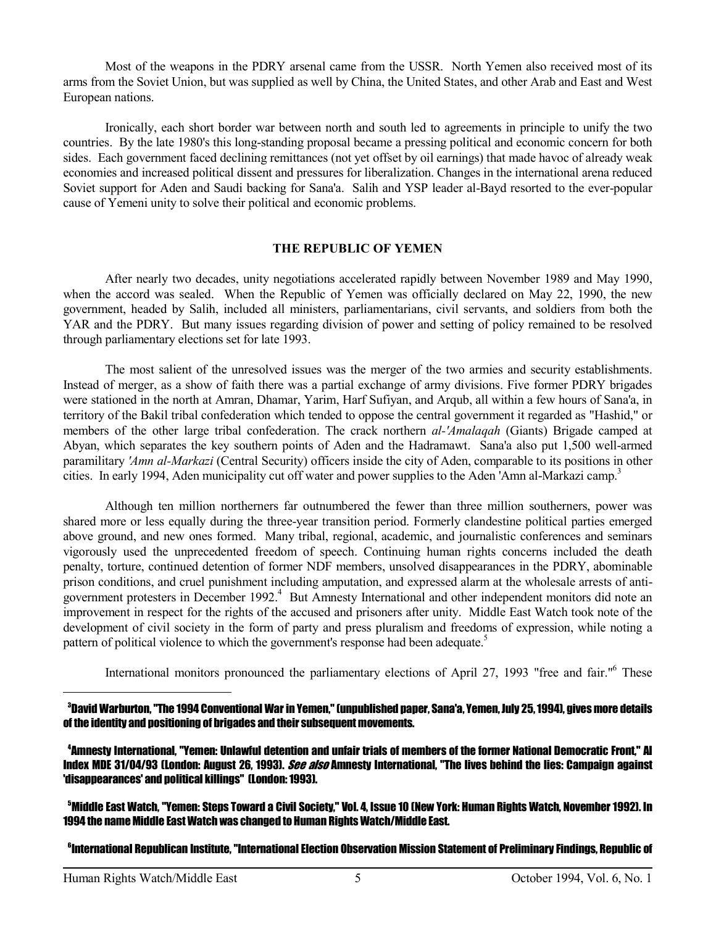Most of the weapons in the PDRY arsenal came from the USSR. North Yemen also received most of its arms from the Soviet Union, but was supplied as well by China, the United States, and other Arab and East and West European nations.

 Ironically, each short border war between north and south led to agreements in principle to unify the two countries. By the late 1980's this long-standing proposal became a pressing political and economic concern for both sides. Each government faced declining remittances (not yet offset by oil earnings) that made havoc of already weak economies and increased political dissent and pressures for liberalization. Changes in the international arena reduced Soviet support for Aden and Saudi backing for Sana'a. Salih and YSP leader al-Bayd resorted to the ever-popular cause of Yemeni unity to solve their political and economic problems.

#### **THE REPUBLIC OF YEMEN**

 After nearly two decades, unity negotiations accelerated rapidly between November 1989 and May 1990, when the accord was sealed. When the Republic of Yemen was officially declared on May 22, 1990, the new government, headed by Salih, included all ministers, parliamentarians, civil servants, and soldiers from both the YAR and the PDRY. But many issues regarding division of power and setting of policy remained to be resolved through parliamentary elections set for late 1993.

 The most salient of the unresolved issues was the merger of the two armies and security establishments. Instead of merger, as a show of faith there was a partial exchange of army divisions. Five former PDRY brigades were stationed in the north at Amran, Dhamar, Yarim, Harf Sufiyan, and Arqub, all within a few hours of Sana'a, in territory of the Bakil tribal confederation which tended to oppose the central government it regarded as "Hashid," or members of the other large tribal confederation. The crack northern *al-'Amalaqah* (Giants) Brigade camped at Abyan, which separates the key southern points of Aden and the Hadramawt. Sana'a also put 1,500 well-armed paramilitary *'Amn al-Markazi* (Central Security) officers inside the city of Aden, comparable to its positions in other cities. In early 1994, Aden municipality cut off water and power supplies to the Aden 'Amn al-Markazi camp.<sup>3</sup>

 Although ten million northerners far outnumbered the fewer than three million southerners, power was shared more or less equally during the three-year transition period. Formerly clandestine political parties emerged above ground, and new ones formed. Many tribal, regional, academic, and journalistic conferences and seminars vigorously used the unprecedented freedom of speech. Continuing human rights concerns included the death penalty, torture, continued detention of former NDF members, unsolved disappearances in the PDRY, abominable prison conditions, and cruel punishment including amputation, and expressed alarm at the wholesale arrests of antigovernment protesters in December 1992.<sup>4</sup> But Amnesty International and other independent monitors did note an improvement in respect for the rights of the accused and prisoners after unity. Middle East Watch took note of the development of civil society in the form of party and press pluralism and freedoms of expression, while noting a pattern of political violence to which the government's response had been adequate.<sup>5</sup>

International monitors pronounced the parliamentary elections of April 27, 1993 "free and fair."<sup>6</sup> These

<sup>3</sup>David Warburton, "The 1994 Conventional War in Yemen," (unpublished paper, Sana'a, Yemen, July 25, 1994), gives more details of the identity and positioning of brigades and their subsequent movements.

<sup>4</sup>Amnesty International, "Yemen: Unlawful detention and unfair trials of members of the former National Democratic Front," AI Index MDE 31/04/93 (London: August 26, 1993). *See also* Amnesty International, "The lives behind the lies: Campaign against 'disappearances' and political killings" (London: 1993).

<sup>5</sup>Middle East Watch, "Yemen: Steps Toward a Civil Society," Vol. 4, Issue 10 (New York: Human Rights Watch, November 1992). In 1994 the name Middle East Watch was changed to Human Rights Watch/Middle East.

6International Republican Institute, "International Election Observation Mission Statement of Preliminary Findings, Republic of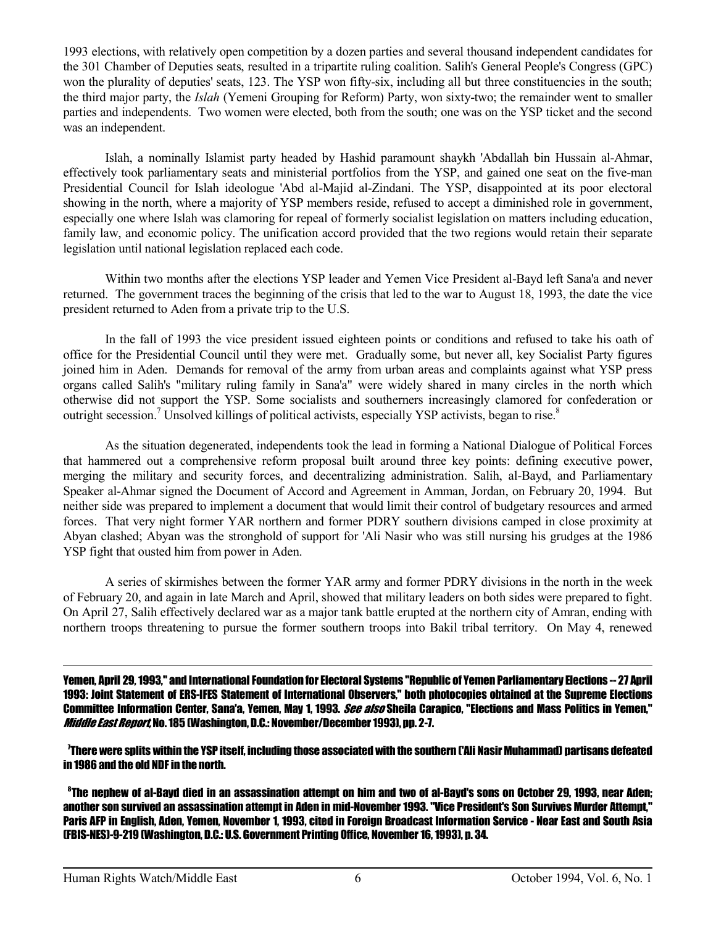1993 elections, with relatively open competition by a dozen parties and several thousand independent candidates for the 301 Chamber of Deputies seats, resulted in a tripartite ruling coalition. Salih's General People's Congress (GPC) won the plurality of deputies' seats, 123. The YSP won fifty-six, including all but three constituencies in the south; the third major party, the *Islah* (Yemeni Grouping for Reform) Party, won sixty-two; the remainder went to smaller parties and independents. Two women were elected, both from the south; one was on the YSP ticket and the second was an independent.

 Islah, a nominally Islamist party headed by Hashid paramount shaykh 'Abdallah bin Hussain al-Ahmar, effectively took parliamentary seats and ministerial portfolios from the YSP, and gained one seat on the five-man Presidential Council for Islah ideologue 'Abd al-Majid al-Zindani. The YSP, disappointed at its poor electoral showing in the north, where a majority of YSP members reside, refused to accept a diminished role in government, especially one where Islah was clamoring for repeal of formerly socialist legislation on matters including education, family law, and economic policy. The unification accord provided that the two regions would retain their separate legislation until national legislation replaced each code.

 Within two months after the elections YSP leader and Yemen Vice President al-Bayd left Sana'a and never returned. The government traces the beginning of the crisis that led to the war to August 18, 1993, the date the vice president returned to Aden from a private trip to the U.S.

 In the fall of 1993 the vice president issued eighteen points or conditions and refused to take his oath of office for the Presidential Council until they were met. Gradually some, but never all, key Socialist Party figures joined him in Aden. Demands for removal of the army from urban areas and complaints against what YSP press organs called Salih's "military ruling family in Sana'a" were widely shared in many circles in the north which otherwise did not support the YSP. Some socialists and southerners increasingly clamored for confederation or outright secession.<sup>7</sup> Unsolved killings of political activists, especially YSP activists, began to rise.<sup>8</sup>

 As the situation degenerated, independents took the lead in forming a National Dialogue of Political Forces that hammered out a comprehensive reform proposal built around three key points: defining executive power, merging the military and security forces, and decentralizing administration. Salih, al-Bayd, and Parliamentary Speaker al-Ahmar signed the Document of Accord and Agreement in Amman, Jordan, on February 20, 1994. But neither side was prepared to implement a document that would limit their control of budgetary resources and armed forces. That very night former YAR northern and former PDRY southern divisions camped in close proximity at Abyan clashed; Abyan was the stronghold of support for 'Ali Nasir who was still nursing his grudges at the 1986 YSP fight that ousted him from power in Aden.

 A series of skirmishes between the former YAR army and former PDRY divisions in the north in the week of February 20, and again in late March and April, showed that military leaders on both sides were prepared to fight. On April 27, Salih effectively declared war as a major tank battle erupted at the northern city of Amran, ending with northern troops threatening to pursue the former southern troops into Bakil tribal territory. On May 4, renewed

Yemen, April 29, 1993," and International Foundation for Electoral Systems "Republic of Yemen Parliamentary Elections -- 27 April 1993: Joint Statement of ERS-IFES Statement of International Observers," both photocopies obtained at the Supreme Elections Committee Information Center, Sana'a, Yemen, May 1, 1993. See also Sheila Carapico, "Elections and Mass Politics in Yemen," Middle East Report No. 185 (Washington, D.C.: November/December 1993), pp. 2-7.

<sup>7</sup>There were splits within the YSP itself, including those associated with the southern ('Ali Nasir Muhammad) partisans defeated in 1986 and the old NDF in the north.

<sup>8</sup>The nephew of al-Bayd died in an assassination attempt on him and two of al-Bayd's sons on October 29, 1993, near Aden; another son survived an assassination attempt in Aden in mid-November 1993. "Vice President's Son Survives Murder Attempt." Paris AFP in English, Aden, Yemen, November 1, 1993, cited in Foreign Broadcast Information Service - Near East and South Asia (FBIS-NES)-9-219 (Washington, D.C.: U.S. Government Printing Office, November 16, 1993), p. 34.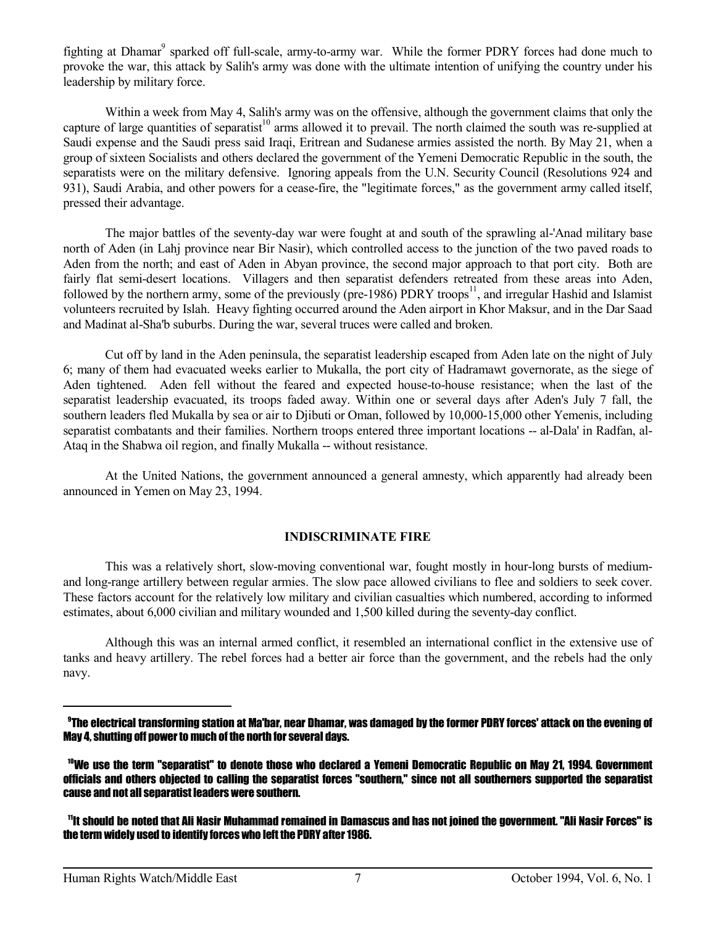fighting at Dhamar<sup>9</sup> sparked off full-scale, army-to-army war. While the former PDRY forces had done much to provoke the war, this attack by Salih's army was done with the ultimate intention of unifying the country under his leadership by military force.

 Within a week from May 4, Salih's army was on the offensive, although the government claims that only the capture of large quantities of separatist<sup>10</sup> arms allowed it to prevail. The north claimed the south was re-supplied at Saudi expense and the Saudi press said Iraqi, Eritrean and Sudanese armies assisted the north. By May 21, when a group of sixteen Socialists and others declared the government of the Yemeni Democratic Republic in the south, the separatists were on the military defensive. Ignoring appeals from the U.N. Security Council (Resolutions 924 and 931), Saudi Arabia, and other powers for a cease-fire, the "legitimate forces," as the government army called itself, pressed their advantage.

 The major battles of the seventy-day war were fought at and south of the sprawling al-'Anad military base north of Aden (in Lahj province near Bir Nasir), which controlled access to the junction of the two paved roads to Aden from the north; and east of Aden in Abyan province, the second major approach to that port city. Both are fairly flat semi-desert locations. Villagers and then separatist defenders retreated from these areas into Aden, followed by the northern army, some of the previously (pre-1986) PDRY troops<sup>11</sup>, and irregular Hashid and Islamist volunteers recruited by Islah. Heavy fighting occurred around the Aden airport in Khor Maksur, and in the Dar Saad and Madinat al-Sha'b suburbs. During the war, several truces were called and broken.

 Cut off by land in the Aden peninsula, the separatist leadership escaped from Aden late on the night of July 6; many of them had evacuated weeks earlier to Mukalla, the port city of Hadramawt governorate, as the siege of Aden tightened. Aden fell without the feared and expected house-to-house resistance; when the last of the separatist leadership evacuated, its troops faded away. Within one or several days after Aden's July 7 fall, the southern leaders fled Mukalla by sea or air to Djibuti or Oman, followed by 10,000-15,000 other Yemenis, including separatist combatants and their families. Northern troops entered three important locations -- al-Dala' in Radfan, al-Ataq in the Shabwa oil region, and finally Mukalla -- without resistance.

 At the United Nations, the government announced a general amnesty, which apparently had already been announced in Yemen on May 23, 1994.

## **INDISCRIMINATE FIRE**

 This was a relatively short, slow-moving conventional war, fought mostly in hour-long bursts of mediumand long-range artillery between regular armies. The slow pace allowed civilians to flee and soldiers to seek cover. These factors account for the relatively low military and civilian casualties which numbered, according to informed estimates, about 6,000 civilian and military wounded and 1,500 killed during the seventy-day conflict.

 Although this was an internal armed conflict, it resembled an international conflict in the extensive use of tanks and heavy artillery. The rebel forces had a better air force than the government, and the rebels had the only navy.

<sup>9</sup>The electrical transforming station at Ma'bar, near Dhamar, was damaged by the former PDRY forces' attack on the evening of May 4, shutting off power to much of the north for several days.

<sup>10</sup>We use the term "separatist" to denote those who declared a Yemeni Democratic Republic on May 21, 1994. Government officials and others objected to calling the separatist forces "southern," since not all southerners supported the separatist cause and not all separatist leaders were southern.

<sup>11</sup>It should be noted that Ali Nasir Muhammad remained in Damascus and has not joined the government. "Ali Nasir Forces" is the term widely used to identify forces who left the PDRY after 1986.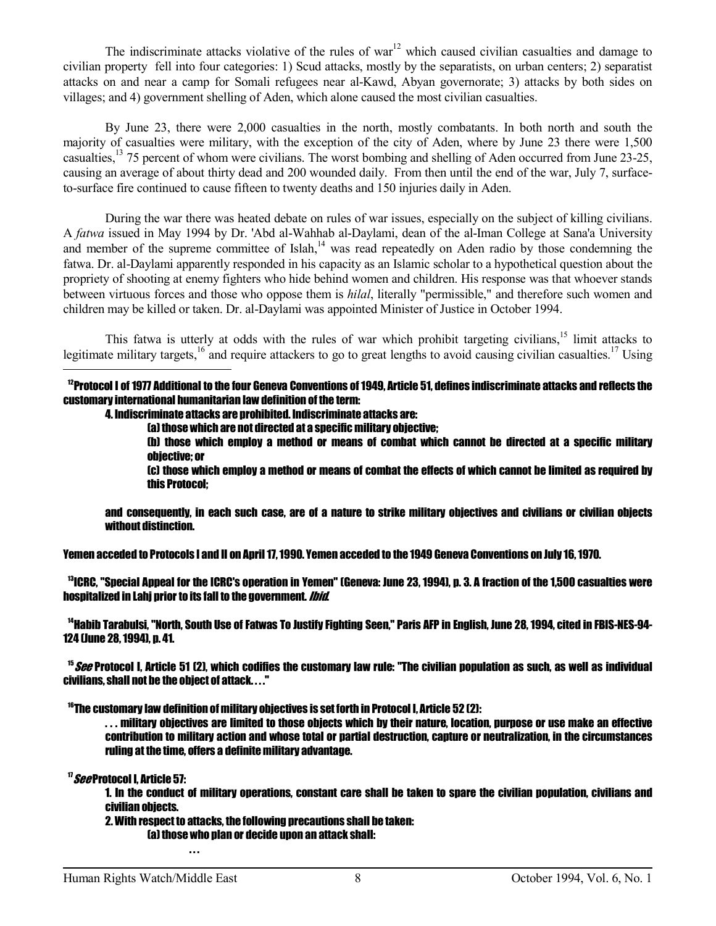The indiscriminate attacks violative of the rules of war<sup>12</sup> which caused civilian casualties and damage to civilian property fell into four categories: 1) Scud attacks, mostly by the separatists, on urban centers; 2) separatist attacks on and near a camp for Somali refugees near al-Kawd, Abyan governorate; 3) attacks by both sides on villages; and 4) government shelling of Aden, which alone caused the most civilian casualties.

 By June 23, there were 2,000 casualties in the north, mostly combatants. In both north and south the majority of casualties were military, with the exception of the city of Aden, where by June 23 there were 1,500 casualties,<sup>13</sup> 75 percent of whom were civilians. The worst bombing and shelling of Aden occurred from June 23-25, causing an average of about thirty dead and 200 wounded daily. From then until the end of the war, July 7, surfaceto-surface fire continued to cause fifteen to twenty deaths and 150 injuries daily in Aden.

 During the war there was heated debate on rules of war issues, especially on the subject of killing civilians. A *fatwa* issued in May 1994 by Dr. 'Abd al-Wahhab al-Daylami, dean of the al-Iman College at Sana'a University and member of the supreme committee of Islah, $14$  was read repeatedly on Aden radio by those condemning the fatwa. Dr. al-Daylami apparently responded in his capacity as an Islamic scholar to a hypothetical question about the propriety of shooting at enemy fighters who hide behind women and children. His response was that whoever stands between virtuous forces and those who oppose them is *hilal*, literally "permissible," and therefore such women and children may be killed or taken. Dr. al-Daylami was appointed Minister of Justice in October 1994.

This fatwa is utterly at odds with the rules of war which prohibit targeting civilians,<sup>15</sup> limit attacks to legitimate military targets,<sup>16</sup> and require attackers to go to great lengths to avoid causing civilian casualties.<sup>17</sup> Using  $\overline{a}$ 

 $^{12}$ Protocol I of 1977 Additional to the four Geneva Conventions of 1949. Article 51, defines indiscriminate attacks and reflects the customary international humanitarian law definition of the term:

4. Indiscriminate attacks are prohibited. Indiscriminate attacks are:

(a) those which are not directed at a specific military objective;

 (b) those which employ a method or means of combat which cannot be directed at a specific military objective; or

 (c) those which employ a method or means of combat the effects of which cannot be limited as required by this Protocol;

 and consequently, in each such case, are of a nature to strike military objectives and civilians or civilian objects without distinction.

Yemen acceded to Protocols I and II on April 17, 1990. Yemen acceded to the 1949 Geneva Conventions on July 16, 1970.

<sup>13</sup>ICRC, "Special Appeal for the ICRC's operation in Yemen" (Geneva: June 23, 1994), p. 3. A fraction of the 1,500 casualties were hospitalized in Lahi prior to its fall to the government. *Ibid.* 

<sup>14</sup>Habib Tarabulsi, "North, South Use of Fatwas To Justify Fighting Seen," Paris AFP in English, June 28, 1994, cited in FBIS-NES-94-124 (June 28, 1994), p. 41.

 $^{15}$ *See* Protocol I. Article 51 (2), which codifies the customary law rule: "The civilian population as such, as well as individual civilians, shall not be the object of attack. . . ."

 $16$ The customary law definition of military objectives is set forth in Protocol I, Article 52 (2):

 $\ldots$  military objectives are limited to those objects which by their nature, location, purpose or use make an effective contribution to military action and whose total or partial destruction, capture or neutralization, in the circumstances ruling at the time, offers a definite military advantage.

<sup>17</sup>*See* Protocol I, Article 57:

 1. In the conduct of military operations, constant care shall be taken to spare the civilian population, civilians and civilian objects.

2. With respect to attacks, the following precautions shall be taken:

(a) those who plan or decide upon an attack shall:

. . .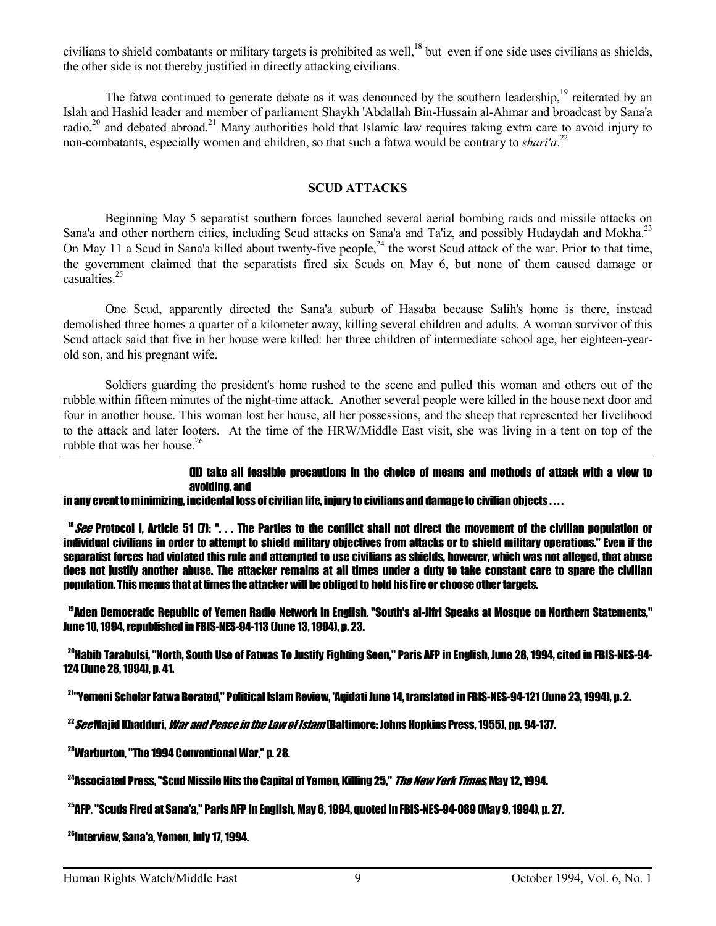civilians to shield combatants or military targets is prohibited as well,<sup>18</sup> but even if one side uses civilians as shields, the other side is not thereby justified in directly attacking civilians.

The fatwa continued to generate debate as it was denounced by the southern leadership, $19$  reiterated by an Islah and Hashid leader and member of parliament Shaykh 'Abdallah Bin-Hussain al-Ahmar and broadcast by Sana'a radio,<sup>20</sup> and debated abroad.<sup>21</sup> Many authorities hold that Islamic law requires taking extra care to avoid injury to non-combatants, especially women and children, so that such a fatwa would be contrary to *shari'a*.<sup>22</sup>

#### **SCUD ATTACKS**

 Beginning May 5 separatist southern forces launched several aerial bombing raids and missile attacks on Sana'a and other northern cities, including Scud attacks on Sana'a and Ta'iz, and possibly Hudaydah and Mokha.<sup>23</sup> On May 11 a Scud in Sana'a killed about twenty-five people,<sup>24</sup> the worst Scud attack of the war. Prior to that time, the government claimed that the separatists fired six Scuds on May 6, but none of them caused damage or casualties $^{25}$ 

 One Scud, apparently directed the Sana'a suburb of Hasaba because Salih's home is there, instead demolished three homes a quarter of a kilometer away, killing several children and adults. A woman survivor of this Scud attack said that five in her house were killed: her three children of intermediate school age, her eighteen-yearold son, and his pregnant wife.

 Soldiers guarding the president's home rushed to the scene and pulled this woman and others out of the rubble within fifteen minutes of the night-time attack. Another several people were killed in the house next door and four in another house. This woman lost her house, all her possessions, and the sheep that represented her livelihood to the attack and later looters. At the time of the HRW/Middle East visit, she was living in a tent on top of the rubble that was her house. $26$ 

#### (ii) take all feasible precautions in the choice of means and methods of attack with a view to avoiding, and

#### in any event to minimizing, incidental loss of civilian life, injury to civilians and damage to civilian objects . . . .

 $18$  See Protocol I. Article 51 (7): "... The Parties to the conflict shall not direct the movement of the civilian population or individual civilians in order to attempt to shield military objectives from attacks or to shield military operations." Even if the separatist forces had violated this rule and attempted to use civilians as shields, however, which was not alleged, that abuse does not justify another abuse. The attacker remains at all times under a duty to take constant care to spare the civilian population. This means that at times the attacker will be obliged to hold his fire or choose other targets.

<sup>19</sup>Aden Democratic Republic of Yemen Radio Network in English, "South's al-Jifri Speaks at Mosque on Northern Statements," June 10, 1994, republished in FBIS-NES-94-113 (June 13, 1994), p. 23.

<sup>20</sup>Habib Tarabulsi, "North, South Use of Fatwas To Justify Fighting Seen," Paris AFP in English, June 28, 1994, cited in FBIS-NES-94- 124 (June 28, 1994), p. 41.

<sup>21</sup>"Yemeni Scholar Fatwa Berated," Political Islam Review, 'Aqidati June 14, translated in FBIS-NES-94-121 (June 23, 1994), p. 2.

 $^{22}$ SeeMaiid Khadduri. *War and Peace in the Law of Islam* (Baltimore: Johns Hopkins Press. 1955). pp. 94-137.

<sup>23</sup>Warburton, "The 1994 Conventional War," p. 28.

<sup>24</sup>Associated Press. "Scud Missile Hits the Capital of Yemen. Killing 25." *The New York Times*. May 12. 1994.

<sup>25</sup>AFP, "Scuds Fired at Sana'a," Paris AFP in English, May 6, 1994, quoted in FBIS-NES-94-089 (May 9, 1994), p. 27.

<sup>26</sup>Interview, Sana'a, Yemen, July 17, 1994.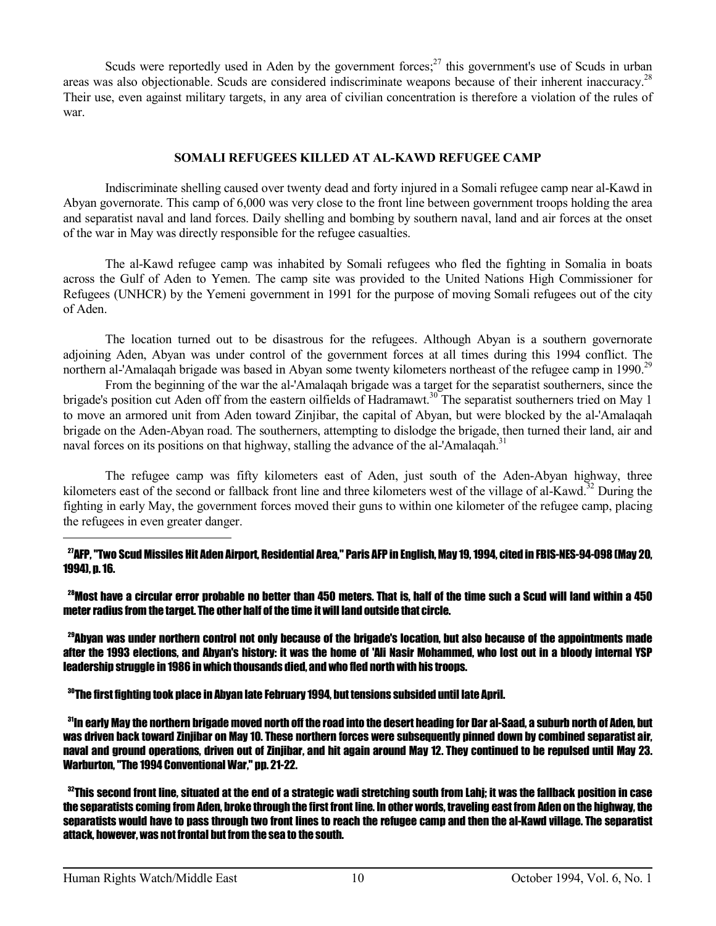Scuds were reportedly used in Aden by the government forces; $27$  this government's use of Scuds in urban areas was also objectionable. Scuds are considered indiscriminate weapons because of their inherent inaccuracy.<sup>28</sup> Their use, even against military targets, in any area of civilian concentration is therefore a violation of the rules of war.

## **SOMALI REFUGEES KILLED AT AL-KAWD REFUGEE CAMP**

 Indiscriminate shelling caused over twenty dead and forty injured in a Somali refugee camp near al-Kawd in Abyan governorate. This camp of 6,000 was very close to the front line between government troops holding the area and separatist naval and land forces. Daily shelling and bombing by southern naval, land and air forces at the onset of the war in May was directly responsible for the refugee casualties.

 The al-Kawd refugee camp was inhabited by Somali refugees who fled the fighting in Somalia in boats across the Gulf of Aden to Yemen. The camp site was provided to the United Nations High Commissioner for Refugees (UNHCR) by the Yemeni government in 1991 for the purpose of moving Somali refugees out of the city of Aden.

 The location turned out to be disastrous for the refugees. Although Abyan is a southern governorate adjoining Aden, Abyan was under control of the government forces at all times during this 1994 conflict. The northern al-'Amalaqah brigade was based in Abyan some twenty kilometers northeast of the refugee camp in 1990.<sup>29</sup>

 From the beginning of the war the al-'Amalaqah brigade was a target for the separatist southerners, since the brigade's position cut Aden off from the eastern oilfields of Hadramawt.<sup>30</sup> The separatist southerners tried on May 1 to move an armored unit from Aden toward Zinjibar, the capital of Abyan, but were blocked by the al-'Amalaqah brigade on the Aden-Abyan road. The southerners, attempting to dislodge the brigade, then turned their land, air and naval forces on its positions on that highway, stalling the advance of the al-'Amalaqah.<sup>31</sup>

 The refugee camp was fifty kilometers east of Aden, just south of the Aden-Abyan highway, three kilometers east of the second or fallback front line and three kilometers west of the village of al-Kawd.<sup>32</sup> During the fighting in early May, the government forces moved their guns to within one kilometer of the refugee camp, placing the refugees in even greater danger.  $\overline{a}$ 

<sup>27</sup>AFP, "Two Scud Missiles Hit Aden Airport, Residential Area," Paris AFP in English, May 19, 1994, cited in FBIS-NES-94-098 (May 20, 1994), p. 16.

 $^{28}$ Most have a circular error probable no better than 450 meters. That is, half of the time such a Scud will land within a 450 meter radius from the target. The other half of the time it will land outside that circle.

 $^{29}$ Abyan was under northern control not only because of the brigade's location, but also because of the appointments made after the 1993 elections, and Abyan's history: it was the home of 'Ali Nasir Mohammed, who lost out in a bloody internal YSP leadership struggle in 1986 in which thousands died, and who fled north with his troops.

<sup>30</sup>The first fighting took place in Abyan late February 1994, but tensions subsided until late April.

 $31$ n early May the northern brigade moved north off the road into the desert heading for Dar al-Saad, a suburb north of Aden, but was driven back toward Ziniibar on May 10. These northern forces were subsequently pinned down by combined separatist air. naval and ground operations, driven out of Zinjibar, and hit again around May 12. They continued to be repulsed until May 23. Warburton, "The 1994 Conventional War," pp. 21-22.

 $^{32}$ This second front line, situated at the end of a strategic wadi stretching south from Lahi; it was the fallback position in case the separatists coming from Aden, broke through the first front line. In other words, traveling east from Aden on the highway, the separatists would have to pass through two front lines to reach the refugee camp and then the al-Kawd village. The separatist attack, however, was not frontal but from the sea to the south.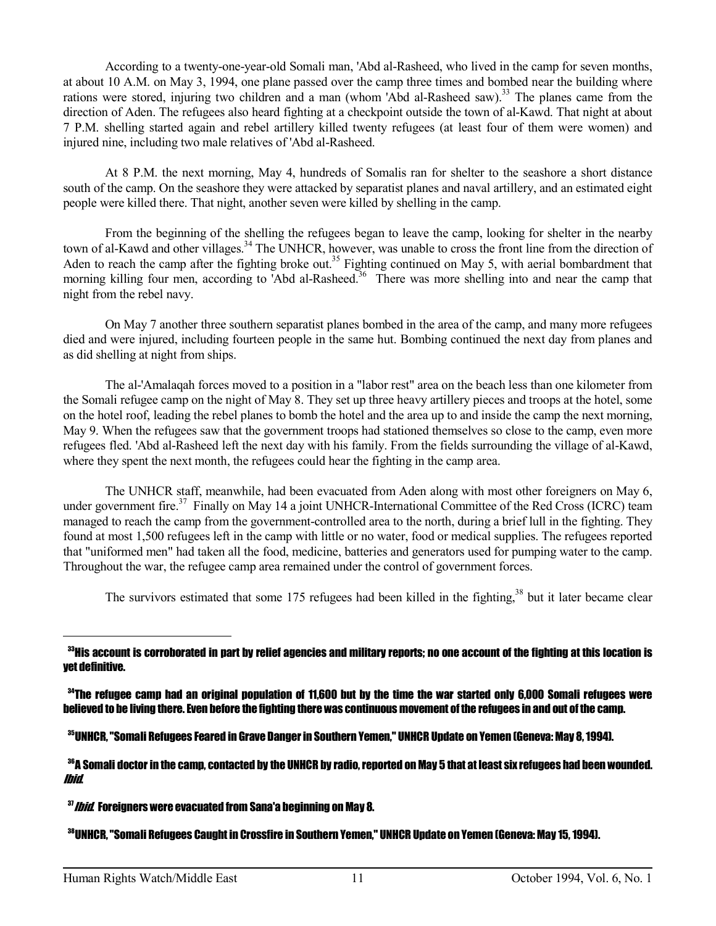According to a twenty-one-year-old Somali man, 'Abd al-Rasheed, who lived in the camp for seven months, at about 10 A.M. on May 3, 1994, one plane passed over the camp three times and bombed near the building where rations were stored, injuring two children and a man (whom 'Abd al-Rasheed saw).<sup>33</sup> The planes came from the direction of Aden. The refugees also heard fighting at a checkpoint outside the town of al-Kawd. That night at about 7 P.M. shelling started again and rebel artillery killed twenty refugees (at least four of them were women) and injured nine, including two male relatives of 'Abd al-Rasheed.

 At 8 P.M. the next morning, May 4, hundreds of Somalis ran for shelter to the seashore a short distance south of the camp. On the seashore they were attacked by separatist planes and naval artillery, and an estimated eight people were killed there. That night, another seven were killed by shelling in the camp.

 From the beginning of the shelling the refugees began to leave the camp, looking for shelter in the nearby town of al-Kawd and other villages.<sup>34</sup> The UNHCR, however, was unable to cross the front line from the direction of Aden to reach the camp after the fighting broke out.<sup>35</sup> Fighting continued on May 5, with aerial bombardment that morning killing four men, according to 'Abd al-Rasheed.<sup>36</sup> There was more shelling into and near the camp that night from the rebel navy.

 On May 7 another three southern separatist planes bombed in the area of the camp, and many more refugees died and were injured, including fourteen people in the same hut. Bombing continued the next day from planes and as did shelling at night from ships.

 The al-'Amalaqah forces moved to a position in a "labor rest" area on the beach less than one kilometer from the Somali refugee camp on the night of May 8. They set up three heavy artillery pieces and troops at the hotel, some on the hotel roof, leading the rebel planes to bomb the hotel and the area up to and inside the camp the next morning, May 9. When the refugees saw that the government troops had stationed themselves so close to the camp, even more refugees fled. 'Abd al-Rasheed left the next day with his family. From the fields surrounding the village of al-Kawd, where they spent the next month, the refugees could hear the fighting in the camp area.

 The UNHCR staff, meanwhile, had been evacuated from Aden along with most other foreigners on May 6, under government fire.<sup>37</sup> Finally on May 14 a joint UNHCR-International Committee of the Red Cross (ICRC) team managed to reach the camp from the government-controlled area to the north, during a brief lull in the fighting. They found at most 1,500 refugees left in the camp with little or no water, food or medical supplies. The refugees reported that "uniformed men" had taken all the food, medicine, batteries and generators used for pumping water to the camp. Throughout the war, the refugee camp area remained under the control of government forces.

The survivors estimated that some 175 refugees had been killed in the fighting,<sup>38</sup> but it later became clear

 $\rm{^{33}His}$  account is corroborated in part by relief agencies and military reports; no one account of the fighting at this location is yet definitive.

<sup>34</sup>The refugee camp had an original population of 11.600 but by the time the war started only 6.000 Somali refugees were believed to be living there. Even before the fighting there was continuous movement of the refugees in and out of the camp.

<sup>35</sup>UNHCR, "Somali Refugees Feared in Grave Danger in Southern Yemen," UNHCR Update on Yemen (Geneva: May 8, 1994).

<sup>36</sup>A Somali doctor in the camp, contacted by the UNHCR by radio, reported on May 5 that at least six refugees had been wounded. Ibid.

 $37$  *Ibid*. Foreigners were evacuated from Sana'a beginning on May 8.

38UNHCR, "Somali Refugees Caught in Crossfire in Southern Yemen," UNHCR Update on Yemen (Geneva: May 15, 1994).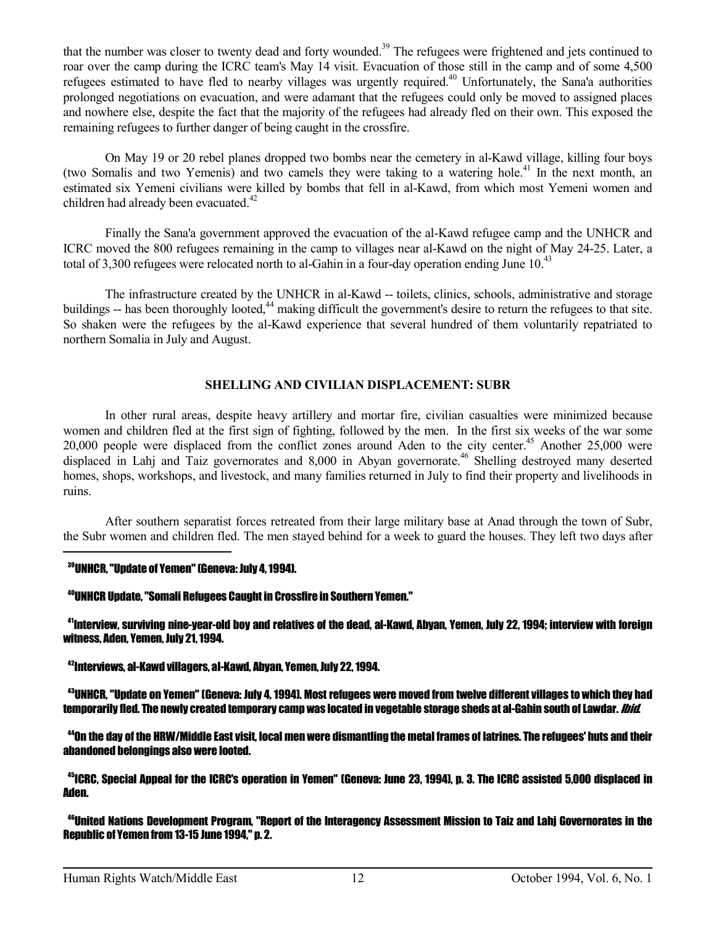that the number was closer to twenty dead and forty wounded.<sup>39</sup> The refugees were frightened and jets continued to roar over the camp during the ICRC team's May 14 visit. Evacuation of those still in the camp and of some 4,500 refugees estimated to have fled to nearby villages was urgently required.<sup>40</sup> Unfortunately, the Sana'a authorities prolonged negotiations on evacuation, and were adamant that the refugees could only be moved to assigned places and nowhere else, despite the fact that the majority of the refugees had already fled on their own. This exposed the remaining refugees to further danger of being caught in the crossfire.

 On May 19 or 20 rebel planes dropped two bombs near the cemetery in al-Kawd village, killing four boys (two Somalis and two Yemenis) and two camels they were taking to a watering hole.<sup>41</sup> In the next month, an estimated six Yemeni civilians were killed by bombs that fell in al-Kawd, from which most Yemeni women and children had already been evacuated.<sup>42</sup>

 Finally the Sana'a government approved the evacuation of the al-Kawd refugee camp and the UNHCR and ICRC moved the 800 refugees remaining in the camp to villages near al-Kawd on the night of May 24-25. Later, a total of 3,300 refugees were relocated north to al-Gahin in a four-day operation ending June  $10^{43}$ 

 The infrastructure created by the UNHCR in al-Kawd -- toilets, clinics, schools, administrative and storage buildings -- has been thoroughly looted,<sup>44</sup> making difficult the government's desire to return the refugees to that site. So shaken were the refugees by the al-Kawd experience that several hundred of them voluntarily repatriated to northern Somalia in July and August.

## **SHELLING AND CIVILIAN DISPLACEMENT: SUBR**

 In other rural areas, despite heavy artillery and mortar fire, civilian casualties were minimized because women and children fled at the first sign of fighting, followed by the men. In the first six weeks of the war some 20,000 people were displaced from the conflict zones around Aden to the city center.<sup>45</sup> Another 25,000 were displaced in Lahj and Taiz governorates and 8,000 in Abyan governorate.<sup>46</sup> Shelling destroyed many deserted homes, shops, workshops, and livestock, and many families returned in July to find their property and livelihoods in ruins.

 After southern separatist forces retreated from their large military base at Anad through the town of Subr, the Subr women and children fled. The men stayed behind for a week to guard the houses. They left two days after —<br>—

## <sup>39</sup>UNHCR, "Update of Yemen" (Geneva: July 4, 1994).

## <sup>40</sup>UNHCR Update, "Somali Refugees Caught in Crossfire in Southern Yemen."

<sup>41</sup>Interview, surviving nine-year-old boy and relatives of the dead, al-Kawd, Abyan, Yemen, July 22, 1994; interview with foreign witness, Aden, Yemen, July 21, 1994.

<sup>42</sup>Interviews, al-Kawd villagers, al-Kawd, Abyan, Yemen, July 22, 1994.

<sup>43</sup>UNHCR, "Update on Yemen" (Geneva: July 4, 1994). Most refugees were moved from twelve different villages to which they had temporarily fled. The newly created temporary camp was located in vegetable storage sheds at al-Gahin south of Lawdar. *Ibid*.

<sup>44</sup>On the day of the HRW/Middle East visit, local men were dismantling the metal frames of latrines. The refugees' huts and their abandoned belongings also were looted.

<sup>45</sup>ICRC, Special Appeal for the ICRC's operation in Yemen" (Geneva: June 23, 1994), p. 3. The ICRC assisted 5,000 displaced in Aden.

<sup>46</sup>United Nations Development Program, "Report of the Interagency Assessment Mission to Taiz and Lahj Governorates in the Republic of Yemen from 13-15 June 1994," p. 2.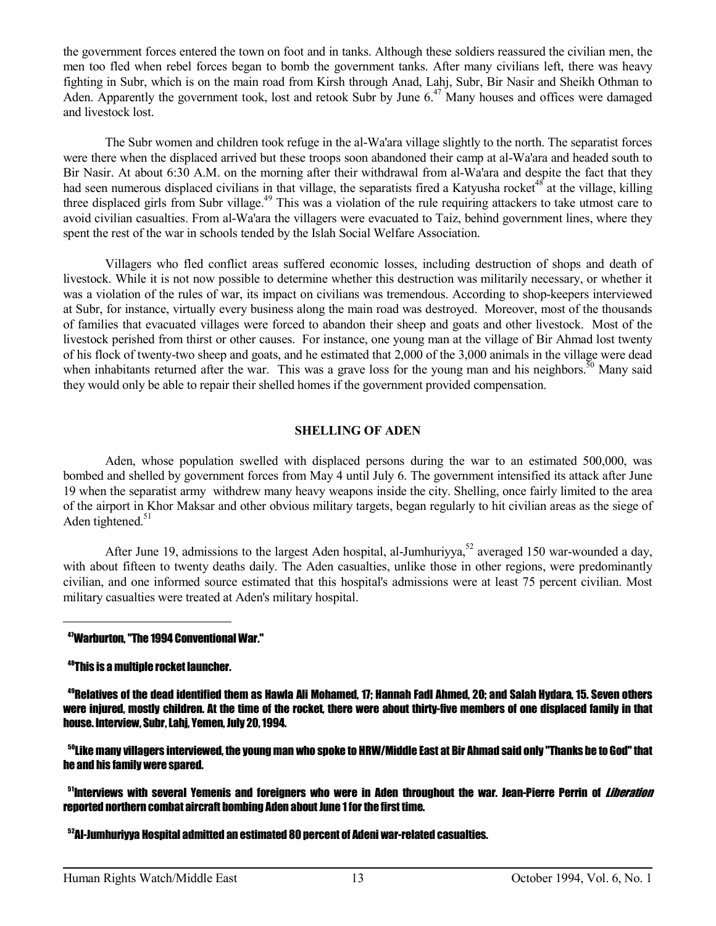the government forces entered the town on foot and in tanks. Although these soldiers reassured the civilian men, the men too fled when rebel forces began to bomb the government tanks. After many civilians left, there was heavy fighting in Subr, which is on the main road from Kirsh through Anad, Lahj, Subr, Bir Nasir and Sheikh Othman to Aden. Apparently the government took, lost and retook Subr by June 6.<sup>47</sup> Many houses and offices were damaged and livestock lost.

 The Subr women and children took refuge in the al-Wa'ara village slightly to the north. The separatist forces were there when the displaced arrived but these troops soon abandoned their camp at al-Wa'ara and headed south to Bir Nasir. At about 6:30 A.M. on the morning after their withdrawal from al-Wa'ara and despite the fact that they had seen numerous displaced civilians in that village, the separatists fired a Katyusha rocket<sup>48</sup> at the village, killing three displaced girls from Subr village.<sup>49</sup> This was a violation of the rule requiring attackers to take utmost care to avoid civilian casualties. From al-Wa'ara the villagers were evacuated to Taiz, behind government lines, where they spent the rest of the war in schools tended by the Islah Social Welfare Association.

 Villagers who fled conflict areas suffered economic losses, including destruction of shops and death of livestock. While it is not now possible to determine whether this destruction was militarily necessary, or whether it was a violation of the rules of war, its impact on civilians was tremendous. According to shop-keepers interviewed at Subr, for instance, virtually every business along the main road was destroyed. Moreover, most of the thousands of families that evacuated villages were forced to abandon their sheep and goats and other livestock. Most of the livestock perished from thirst or other causes. For instance, one young man at the village of Bir Ahmad lost twenty of his flock of twenty-two sheep and goats, and he estimated that 2,000 of the 3,000 animals in the village were dead when inhabitants returned after the war. This was a grave loss for the young man and his neighbors.<sup>50</sup> Many said they would only be able to repair their shelled homes if the government provided compensation.

## **SHELLING OF ADEN**

 Aden, whose population swelled with displaced persons during the war to an estimated 500,000, was bombed and shelled by government forces from May 4 until July 6. The government intensified its attack after June 19 when the separatist army withdrew many heavy weapons inside the city. Shelling, once fairly limited to the area of the airport in Khor Maksar and other obvious military targets, began regularly to hit civilian areas as the siege of Aden tightened. $51$ 

After June 19, admissions to the largest Aden hospital, al-Jumhuriyya,<sup>52</sup> averaged 150 war-wounded a day, with about fifteen to twenty deaths daily. The Aden casualties, unlike those in other regions, were predominantly civilian, and one informed source estimated that this hospital's admissions were at least 75 percent civilian. Most military casualties were treated at Aden's military hospital.

#### <sup>47</sup>Warburton, "The 1994 Conventional War."

<sup>48</sup>This is a multiple rocket launcher.

 $\overline{a}$ 

<sup>49</sup>Relatives of the dead identified them as Hawla Ali Mohamed, 17; Hannah Fadl Ahmed, 20; and Salah Hydara, 15. Seven others were injured, mostly children. At the time of the rocket, there were about thirty-five members of one displaced family in that house. Interview, Subr, Lahj, Yemen, July 20, 1994.

<sup>50</sup>Like many villagers interviewed, the young man who spoke to HRW/Middle East at Bir Ahmad said only "Thanks be to God" that he and his family were spared.

<sup>51</sup>Interviews with several Yemenis and foreigners who were in Aden throughout the war. Jean-Pierre Perrin of *Liberation* reported northern combat aircraft bombing Aden about June 1 for the first time.

<sup>52</sup>Al-Jumhuriyya Hospital admitted an estimated 80 percent of Adeni war-related casualties.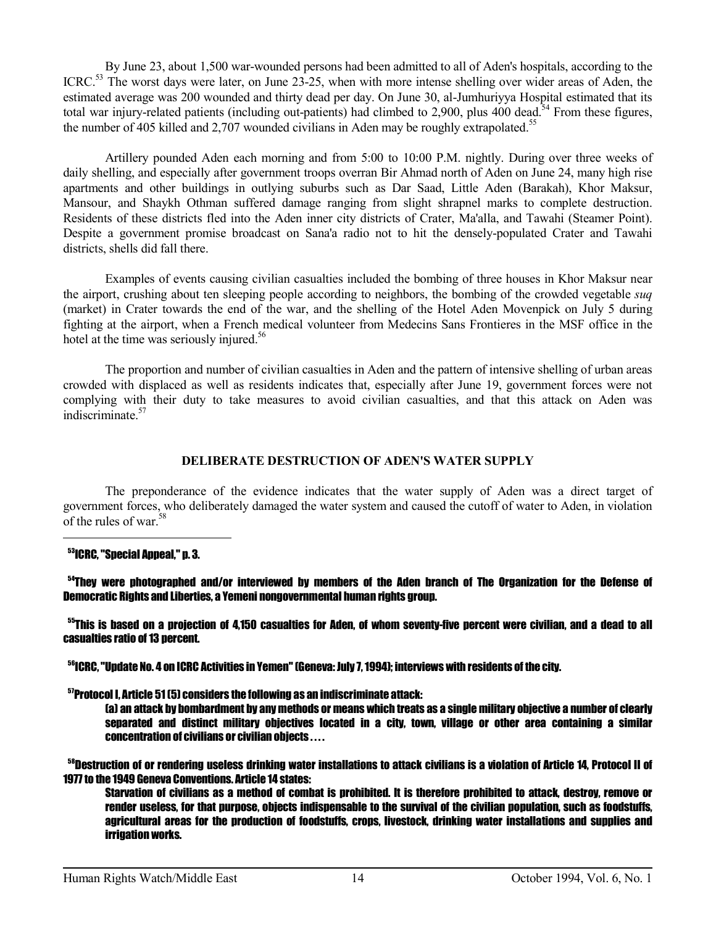By June 23, about 1,500 war-wounded persons had been admitted to all of Aden's hospitals, according to the ICRC.<sup>53</sup> The worst days were later, on June 23-25, when with more intense shelling over wider areas of Aden, the estimated average was 200 wounded and thirty dead per day. On June 30, al-Jumhuriyya Hospital estimated that its total war injury-related patients (including out-patients) had climbed to 2,900, plus 400 dead.<sup>54</sup> From these figures, the number of 405 killed and 2,707 wounded civilians in Aden may be roughly extrapolated.<sup>55</sup>

 Artillery pounded Aden each morning and from 5:00 to 10:00 P.M. nightly. During over three weeks of daily shelling, and especially after government troops overran Bir Ahmad north of Aden on June 24, many high rise apartments and other buildings in outlying suburbs such as Dar Saad, Little Aden (Barakah), Khor Maksur, Mansour, and Shaykh Othman suffered damage ranging from slight shrapnel marks to complete destruction. Residents of these districts fled into the Aden inner city districts of Crater, Ma'alla, and Tawahi (Steamer Point). Despite a government promise broadcast on Sana'a radio not to hit the densely-populated Crater and Tawahi districts, shells did fall there.

 Examples of events causing civilian casualties included the bombing of three houses in Khor Maksur near the airport, crushing about ten sleeping people according to neighbors, the bombing of the crowded vegetable *suq* (market) in Crater towards the end of the war, and the shelling of the Hotel Aden Movenpick on July 5 during fighting at the airport, when a French medical volunteer from Medecins Sans Frontieres in the MSF office in the hotel at the time was seriously injured.<sup>56</sup>

 The proportion and number of civilian casualties in Aden and the pattern of intensive shelling of urban areas crowded with displaced as well as residents indicates that, especially after June 19, government forces were not complying with their duty to take measures to avoid civilian casualties, and that this attack on Aden was indiscriminate<sup>57</sup>

## **DELIBERATE DESTRUCTION OF ADEN'S WATER SUPPLY**

 The preponderance of the evidence indicates that the water supply of Aden was a direct target of government forces, who deliberately damaged the water system and caused the cutoff of water to Aden, in violation of the rules of war.<sup>58</sup>  $\overline{a}$ 

#### <sup>53</sup>ICRC, "Special Appeal," p. 3.

<sup>54</sup>They were photographed and/or interviewed by members of the Aden branch of The Organization for the Defense of Democratic Rights and Liberties, a Yemeni nongovernmental human rights group.

<sup>55</sup>This is based on a projection of 4,150 casualties for Aden, of whom seventy-five percent were civilian, and a dead to all casualties ratio of 13 percent.

 $^{56}$ ICRC. "Update No. 4 on ICRC Activities in Yemen" (Geneva: July 7.1994): interviews with residents of the city.

<sup>57</sup>Protocol I, Article 51 (5) considers the following as an indiscriminate attack:

 (a) an attack by bombardment by any methods or means which treats as a single military objective a number of clearly separated and distinct military objectives located in a city, town, village or other area containing a similar concentration of civilians or civilian objects . . . .

 $^{58}$ Destruction of or rendering useless drinking water installations to attack civilians is a violation of Article 14, Protocol II of 1977 to the 1949 Geneva Conventions. Article 14 states:

 Starvation of civilians as a method of combat is prohibited. It is therefore prohibited to attack, destroy, remove or render useless, for that purpose, objects indispensable to the survival of the civilian population, such as foodstuffs, agricultural areas for the production of foodstuffs, crops, livestock, drinking water installations and supplies and irrigation works.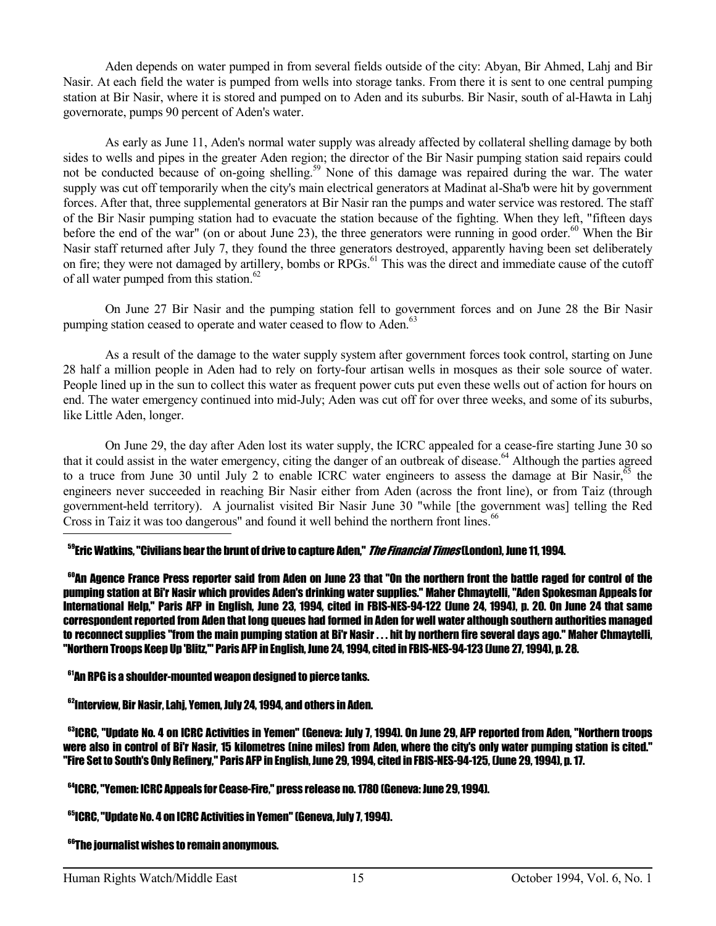Aden depends on water pumped in from several fields outside of the city: Abyan, Bir Ahmed, Lahj and Bir Nasir. At each field the water is pumped from wells into storage tanks. From there it is sent to one central pumping station at Bir Nasir, where it is stored and pumped on to Aden and its suburbs. Bir Nasir, south of al-Hawta in Lahj governorate, pumps 90 percent of Aden's water.

 As early as June 11, Aden's normal water supply was already affected by collateral shelling damage by both sides to wells and pipes in the greater Aden region; the director of the Bir Nasir pumping station said repairs could not be conducted because of on-going shelling.<sup>59</sup> None of this damage was repaired during the war. The water supply was cut off temporarily when the city's main electrical generators at Madinat al-Sha'b were hit by government forces. After that, three supplemental generators at Bir Nasir ran the pumps and water service was restored. The staff of the Bir Nasir pumping station had to evacuate the station because of the fighting. When they left, "fifteen days before the end of the war" (on or about June 23), the three generators were running in good order.<sup>60</sup> When the Bir Nasir staff returned after July 7, they found the three generators destroyed, apparently having been set deliberately on fire; they were not damaged by artillery, bombs or RPGs.<sup>61</sup> This was the direct and immediate cause of the cutoff of all water pumped from this station.<sup>62</sup>

 On June 27 Bir Nasir and the pumping station fell to government forces and on June 28 the Bir Nasir pumping station ceased to operate and water ceased to flow to Aden.<sup>63</sup>

 As a result of the damage to the water supply system after government forces took control, starting on June 28 half a million people in Aden had to rely on forty-four artisan wells in mosques as their sole source of water. People lined up in the sun to collect this water as frequent power cuts put even these wells out of action for hours on end. The water emergency continued into mid-July; Aden was cut off for over three weeks, and some of its suburbs, like Little Aden, longer.

 On June 29, the day after Aden lost its water supply, the ICRC appealed for a cease-fire starting June 30 so that it could assist in the water emergency, citing the danger of an outbreak of disease.<sup>64</sup> Although the parties agreed to a truce from June 30 until July 2 to enable ICRC water engineers to assess the damage at Bir Nasir,  $65$  the engineers never succeeded in reaching Bir Nasir either from Aden (across the front line), or from Taiz (through government-held territory). A journalist visited Bir Nasir June 30 "while [the government was] telling the Red Cross in Taiz it was too dangerous" and found it well behind the northern front lines.<sup>66</sup>

## <sup>59</sup>Eric Watkins. "Civilians bear the brunt of drive to capture Aden." *The Financial Times* (London). June 11. 1994.

<sup>60</sup>An Agence France Press reporter said from Aden on June 23 that "On the northern front the battle raged for control of the pumping station at Bi'r Nasir which provides Aden's drinking water supplies." Maher Chmaytelli, "Aden Spokesman Appeals for International Help," Paris AFP in English, June 23, 1994, cited in FBIS-NES-94-122 (June 24, 1994), p. 20. On June 24 that same correspondent reported from Aden that long queues had formed in Aden for well water although southern authorities managed to reconnect supplies "from the main pumping station at Bi'r Nasir . . . hit by northern fire several days ago." Maher Chmaytelli, "Northern Troops Keep Up 'Blitz,'" Paris AFP in English, June 24, 1994, cited in FBIS-NES-94-123 (June 27, 1994), p. 28.

 $<sup>61</sup>$ An RPG is a shoulder-mounted weapon designed to pierce tanks.</sup>

<sup>62</sup>Interview, Bir Nasir, Lahj, Yemen, July 24, 1994, and others in Aden.

63ICRC, "Update No. 4 on ICRC Activities in Yemen" (Geneva: July 7, 1994). On June 29, AFP reported from Aden, "Northern troops were also in control of Bi'r Nasir, 15 kilometres (nine miles) from Aden, where the city's only water pumping station is cited." "Fire Set to South's Only Refinery," Paris AFP in English, June 29, 1994, cited in FBIS-NES-94-125, (June 29, 1994), p. 17.

<sup>64</sup>ICRC, "Yemen: ICRC Appeals for Cease-Fire," press release no. 1780 (Geneva: June 29, 1994).

<sup>65</sup>ICRC, "Update No. 4 on ICRC Activities in Yemen" (Geneva, July 7, 1994).

**<sup>66</sup>The journalist wishes to remain anonymous.**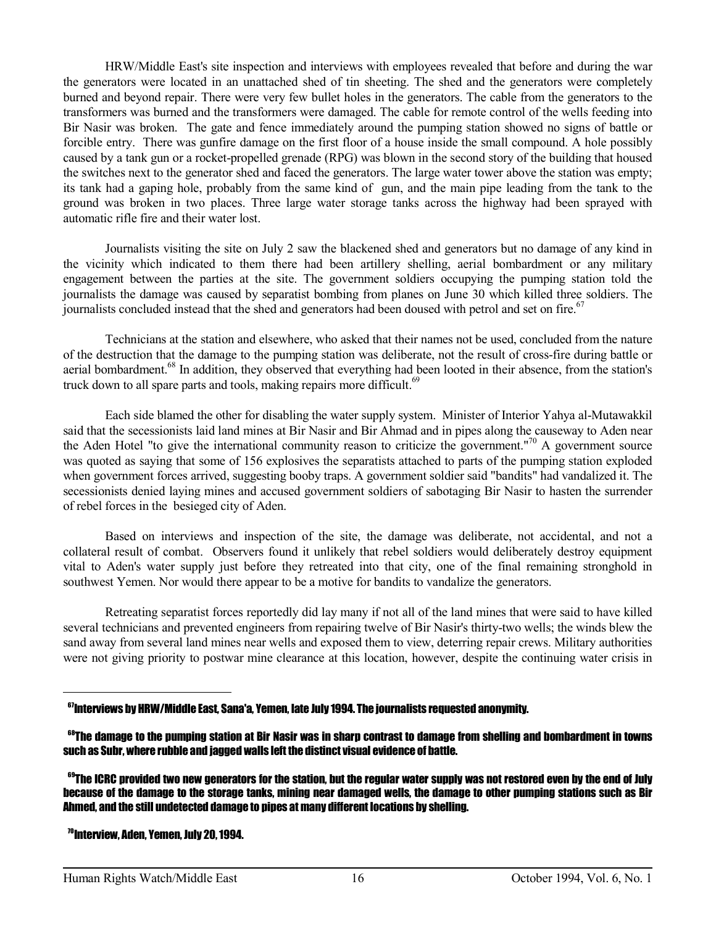HRW/Middle East's site inspection and interviews with employees revealed that before and during the war the generators were located in an unattached shed of tin sheeting. The shed and the generators were completely burned and beyond repair. There were very few bullet holes in the generators. The cable from the generators to the transformers was burned and the transformers were damaged. The cable for remote control of the wells feeding into Bir Nasir was broken. The gate and fence immediately around the pumping station showed no signs of battle or forcible entry. There was gunfire damage on the first floor of a house inside the small compound. A hole possibly caused by a tank gun or a rocket-propelled grenade (RPG) was blown in the second story of the building that housed the switches next to the generator shed and faced the generators. The large water tower above the station was empty; its tank had a gaping hole, probably from the same kind of gun, and the main pipe leading from the tank to the ground was broken in two places. Three large water storage tanks across the highway had been sprayed with automatic rifle fire and their water lost.

 Journalists visiting the site on July 2 saw the blackened shed and generators but no damage of any kind in the vicinity which indicated to them there had been artillery shelling, aerial bombardment or any military engagement between the parties at the site. The government soldiers occupying the pumping station told the journalists the damage was caused by separatist bombing from planes on June 30 which killed three soldiers. The journalists concluded instead that the shed and generators had been doused with petrol and set on fire.<sup>67</sup>

 Technicians at the station and elsewhere, who asked that their names not be used, concluded from the nature of the destruction that the damage to the pumping station was deliberate, not the result of cross-fire during battle or aerial bombardment.<sup>68</sup> In addition, they observed that everything had been looted in their absence, from the station's truck down to all spare parts and tools, making repairs more difficult.<sup>69</sup>

 Each side blamed the other for disabling the water supply system. Minister of Interior Yahya al-Mutawakkil said that the secessionists laid land mines at Bir Nasir and Bir Ahmad and in pipes along the causeway to Aden near the Aden Hotel "to give the international community reason to criticize the government."<sup>70</sup> A government source was quoted as saying that some of 156 explosives the separatists attached to parts of the pumping station exploded when government forces arrived, suggesting booby traps. A government soldier said "bandits" had vandalized it. The secessionists denied laying mines and accused government soldiers of sabotaging Bir Nasir to hasten the surrender of rebel forces in the besieged city of Aden.

 Based on interviews and inspection of the site, the damage was deliberate, not accidental, and not a collateral result of combat. Observers found it unlikely that rebel soldiers would deliberately destroy equipment vital to Aden's water supply just before they retreated into that city, one of the final remaining stronghold in southwest Yemen. Nor would there appear to be a motive for bandits to vandalize the generators.

 Retreating separatist forces reportedly did lay many if not all of the land mines that were said to have killed several technicians and prevented engineers from repairing twelve of Bir Nasir's thirty-two wells; the winds blew the sand away from several land mines near wells and exposed them to view, deterring repair crews. Military authorities were not giving priority to postwar mine clearance at this location, however, despite the continuing water crisis in

 $67$ Interviews by HRW/Middle East, Sana'a, Yemen, late July 1994. The journalists requested anonymity.

<sup>&</sup>lt;sup>68</sup>The damage to the pumping station at Bir Nasir was in sharp contrast to damage from shelling and bombardment in towns such as Subr, where rubble and jagged walls left the distinct visual evidence of battle.

 $^{69}$ The ICRC provided two new generators for the station, but the regular water supply was not restored even by the end of July because of the damage to the storage tanks, mining near damaged wells, the damage to other pumping stations such as Bir Ahmed, and the still undetected damage to pipes at many different locations by shelling.

 <sup>70</sup>Interview, Aden, Yemen, July 20, 1994.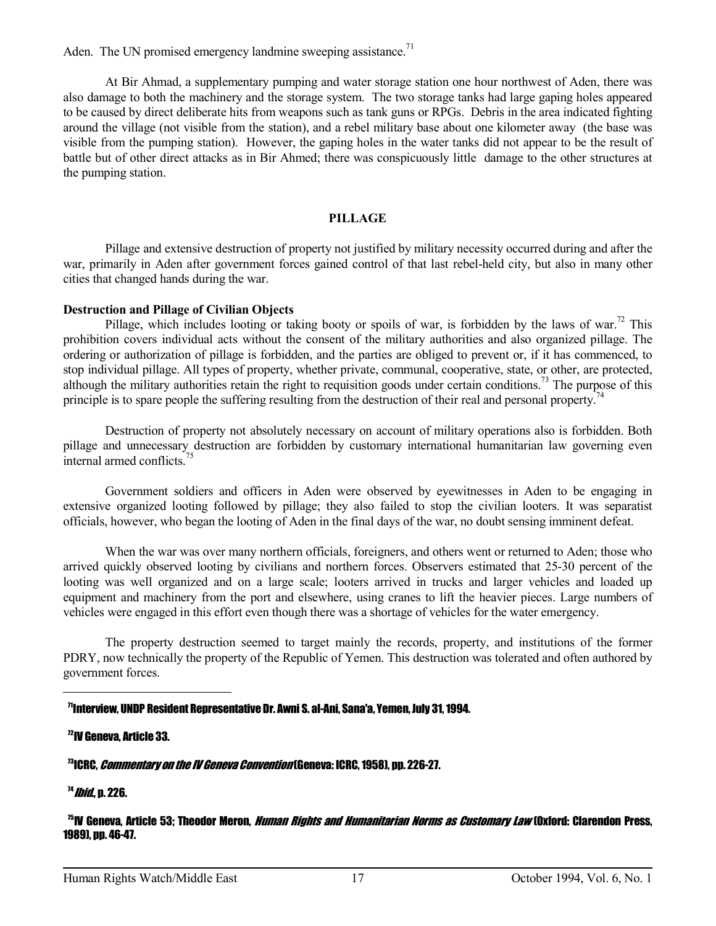Aden. The UN promised emergency landmine sweeping assistance.<sup>71</sup>

 At Bir Ahmad, a supplementary pumping and water storage station one hour northwest of Aden, there was also damage to both the machinery and the storage system. The two storage tanks had large gaping holes appeared to be caused by direct deliberate hits from weapons such as tank guns or RPGs. Debris in the area indicated fighting around the village (not visible from the station), and a rebel military base about one kilometer away (the base was visible from the pumping station). However, the gaping holes in the water tanks did not appear to be the result of battle but of other direct attacks as in Bir Ahmed; there was conspicuously little damage to the other structures at the pumping station.

## **PILLAGE**

 Pillage and extensive destruction of property not justified by military necessity occurred during and after the war, primarily in Aden after government forces gained control of that last rebel-held city, but also in many other cities that changed hands during the war.

## **Destruction and Pillage of Civilian Objects**

Pillage, which includes looting or taking booty or spoils of war, is forbidden by the laws of war.<sup>72</sup> This prohibition covers individual acts without the consent of the military authorities and also organized pillage. The ordering or authorization of pillage is forbidden, and the parties are obliged to prevent or, if it has commenced, to stop individual pillage. All types of property, whether private, communal, cooperative, state, or other, are protected, although the military authorities retain the right to requisition goods under certain conditions.<sup>73</sup> The purpose of this principle is to spare people the suffering resulting from the destruction of their real and personal property.<sup>74</sup>

 Destruction of property not absolutely necessary on account of military operations also is forbidden. Both pillage and unnecessary destruction are forbidden by customary international humanitarian law governing even internal armed conflicts.<sup>75</sup>

 Government soldiers and officers in Aden were observed by eyewitnesses in Aden to be engaging in extensive organized looting followed by pillage; they also failed to stop the civilian looters. It was separatist officials, however, who began the looting of Aden in the final days of the war, no doubt sensing imminent defeat.

 When the war was over many northern officials, foreigners, and others went or returned to Aden; those who arrived quickly observed looting by civilians and northern forces. Observers estimated that 25-30 percent of the looting was well organized and on a large scale; looters arrived in trucks and larger vehicles and loaded up equipment and machinery from the port and elsewhere, using cranes to lift the heavier pieces. Large numbers of vehicles were engaged in this effort even though there was a shortage of vehicles for the water emergency.

 The property destruction seemed to target mainly the records, property, and institutions of the former PDRY, now technically the property of the Republic of Yemen. This destruction was tolerated and often authored by government forces.

#### <sup>71</sup>Interview, UNDP Resident Representative Dr. Awni S. al-Ani, Sana'a, Yemen, July 31, 1994.

<sup>72</sup>IV Geneva, Article 33.

<sup>73</sup>ICRC, *Commentary on the IV Geneva Convention* (Geneva: ICRC, 1958), pp. 226-27.

 $14$  Ibid., p. 226.

—<br>—

#### <sup>75</sup>IV Geneva. Article 53: Theodor Meron. *Human Rights and Humanitarian Norms as Customary Law* (Oxford: Clarendon Press. 1989), pp. 46-47.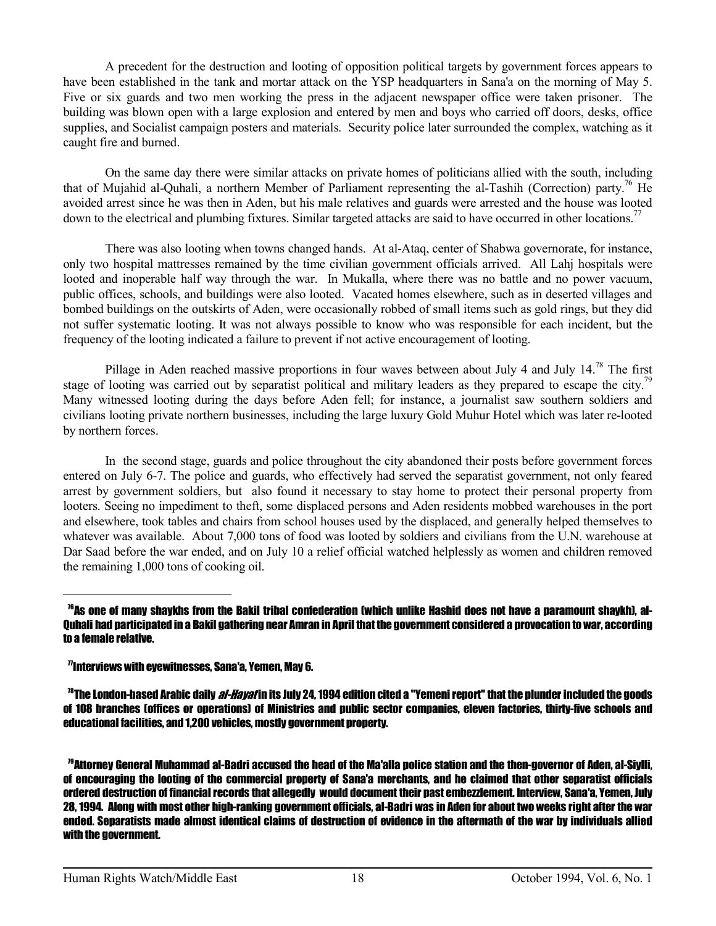A precedent for the destruction and looting of opposition political targets by government forces appears to have been established in the tank and mortar attack on the YSP headquarters in Sana'a on the morning of May 5. Five or six guards and two men working the press in the adjacent newspaper office were taken prisoner. The building was blown open with a large explosion and entered by men and boys who carried off doors, desks, office supplies, and Socialist campaign posters and materials. Security police later surrounded the complex, watching as it caught fire and burned.

 On the same day there were similar attacks on private homes of politicians allied with the south, including that of Mujahid al-Quhali, a northern Member of Parliament representing the al-Tashih (Correction) party.<sup>76</sup> He avoided arrest since he was then in Aden, but his male relatives and guards were arrested and the house was looted down to the electrical and plumbing fixtures. Similar targeted attacks are said to have occurred in other locations.<sup>77</sup>

 There was also looting when towns changed hands. At al-Ataq, center of Shabwa governorate, for instance, only two hospital mattresses remained by the time civilian government officials arrived. All Lahj hospitals were looted and inoperable half way through the war. In Mukalla, where there was no battle and no power vacuum, public offices, schools, and buildings were also looted. Vacated homes elsewhere, such as in deserted villages and bombed buildings on the outskirts of Aden, were occasionally robbed of small items such as gold rings, but they did not suffer systematic looting. It was not always possible to know who was responsible for each incident, but the frequency of the looting indicated a failure to prevent if not active encouragement of looting.

Pillage in Aden reached massive proportions in four waves between about July 4 and July  $14.^{78}$  The first stage of looting was carried out by separatist political and military leaders as they prepared to escape the city.<sup>7</sup> Many witnessed looting during the days before Aden fell; for instance, a journalist saw southern soldiers and civilians looting private northern businesses, including the large luxury Gold Muhur Hotel which was later re-looted by northern forces.

 In the second stage, guards and police throughout the city abandoned their posts before government forces entered on July 6-7. The police and guards, who effectively had served the separatist government, not only feared arrest by government soldiers, but also found it necessary to stay home to protect their personal property from looters. Seeing no impediment to theft, some displaced persons and Aden residents mobbed warehouses in the port and elsewhere, took tables and chairs from school houses used by the displaced, and generally helped themselves to whatever was available. About 7,000 tons of food was looted by soldiers and civilians from the U.N. warehouse at Dar Saad before the war ended, and on July 10 a relief official watched helplessly as women and children removed the remaining 1,000 tons of cooking oil.

#### $\eta$ <sup>n</sup>Interviews with evewitnesses, Sana'a, Yemen, May 6.

—<br>—

<sup>78</sup>The London-based Arabic daily *al-Havat* in its July 24, 1994 edition cited a "Yemeni report" that the plunder included the goods of 108 branches (offices or operations) of Ministries and public sector companies, eleven factories, thirty-five schools and educational facilities, and 1,200 vehicles, mostly government property.

<sup>79</sup>Attorney General Muhammad al-Badri accused the head of the Ma'alla police station and the then-governor of Aden, al-Siylli, of encouraging the looting of the commercial property of Sana'a merchants, and he claimed that other separatist officials ordered destruction of financial records that allegedly would document their past embezzlement. Interview, Sana'a, Yemen, July 28, 1994. Along with most other high-ranking government officials, al-Badri was in Aden for about two weeks right after the war ended. Separatists made almost identical claims of destruction of evidence in the aftermath of the war by individuals allied with the government.

 $^{76}$ As one of many shaykhs from the Bakil tribal confederation (which unlike Hashid does not have a paramount shaykh). al-Quhali had participated in a Bakil gathering near Amran in April that the government considered a provocation to war, according to a female relative.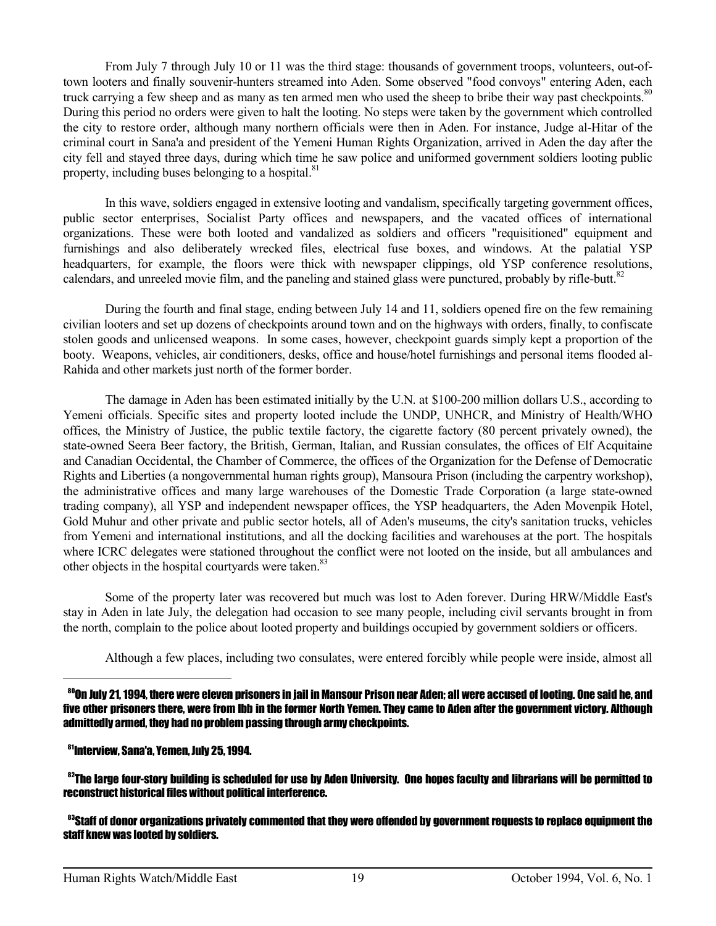From July 7 through July 10 or 11 was the third stage: thousands of government troops, volunteers, out-oftown looters and finally souvenir-hunters streamed into Aden. Some observed "food convoys" entering Aden, each truck carrying a few sheep and as many as ten armed men who used the sheep to bribe their way past checkpoints.<sup>80</sup> During this period no orders were given to halt the looting. No steps were taken by the government which controlled the city to restore order, although many northern officials were then in Aden. For instance, Judge al-Hitar of the criminal court in Sana'a and president of the Yemeni Human Rights Organization, arrived in Aden the day after the city fell and stayed three days, during which time he saw police and uniformed government soldiers looting public property, including buses belonging to a hospital.<sup>81</sup>

 In this wave, soldiers engaged in extensive looting and vandalism, specifically targeting government offices, public sector enterprises, Socialist Party offices and newspapers, and the vacated offices of international organizations. These were both looted and vandalized as soldiers and officers "requisitioned" equipment and furnishings and also deliberately wrecked files, electrical fuse boxes, and windows. At the palatial YSP headquarters, for example, the floors were thick with newspaper clippings, old YSP conference resolutions, calendars, and unreeled movie film, and the paneling and stained glass were punctured, probably by rifle-butt.<sup>82</sup>

 During the fourth and final stage, ending between July 14 and 11, soldiers opened fire on the few remaining civilian looters and set up dozens of checkpoints around town and on the highways with orders, finally, to confiscate stolen goods and unlicensed weapons. In some cases, however, checkpoint guards simply kept a proportion of the booty. Weapons, vehicles, air conditioners, desks, office and house/hotel furnishings and personal items flooded al-Rahida and other markets just north of the former border.

 The damage in Aden has been estimated initially by the U.N. at \$100-200 million dollars U.S., according to Yemeni officials. Specific sites and property looted include the UNDP, UNHCR, and Ministry of Health/WHO offices, the Ministry of Justice, the public textile factory, the cigarette factory (80 percent privately owned), the state-owned Seera Beer factory, the British, German, Italian, and Russian consulates, the offices of Elf Acquitaine and Canadian Occidental, the Chamber of Commerce, the offices of the Organization for the Defense of Democratic Rights and Liberties (a nongovernmental human rights group), Mansoura Prison (including the carpentry workshop), the administrative offices and many large warehouses of the Domestic Trade Corporation (a large state-owned trading company), all YSP and independent newspaper offices, the YSP headquarters, the Aden Movenpik Hotel, Gold Muhur and other private and public sector hotels, all of Aden's museums, the city's sanitation trucks, vehicles from Yemeni and international institutions, and all the docking facilities and warehouses at the port. The hospitals where ICRC delegates were stationed throughout the conflict were not looted on the inside, but all ambulances and other objects in the hospital courtyards were taken.<sup>83</sup>

 Some of the property later was recovered but much was lost to Aden forever. During HRW/Middle East's stay in Aden in late July, the delegation had occasion to see many people, including civil servants brought in from the north, complain to the police about looted property and buildings occupied by government soldiers or officers.

Although a few places, including two consulates, were entered forcibly while people were inside, almost all

 $^{\circ}$ On July 21, 1994, there were eleven prisoners in iail in Mansour Prison near Aden; all were accused of looting. One said he, and five other prisoners there, were from Ibb in the former North Yemen. They came to Aden after the government victory. Although admittedly armed, they had no problem passing through army checkpoints.

## <sup>81</sup>Interview, Sana'a, Yemen, July 25, 1994.

 $\overline{a}$ 

 $82$ The large four-story building is scheduled for use by Aden University. One hopes faculty and librarians will be permitted to reconstruct historical files without political interference.

 $^{83}$ Staff of donor organizations privately commented that they were offended by government requests to replace equipment the staff knew was looted by soldiers.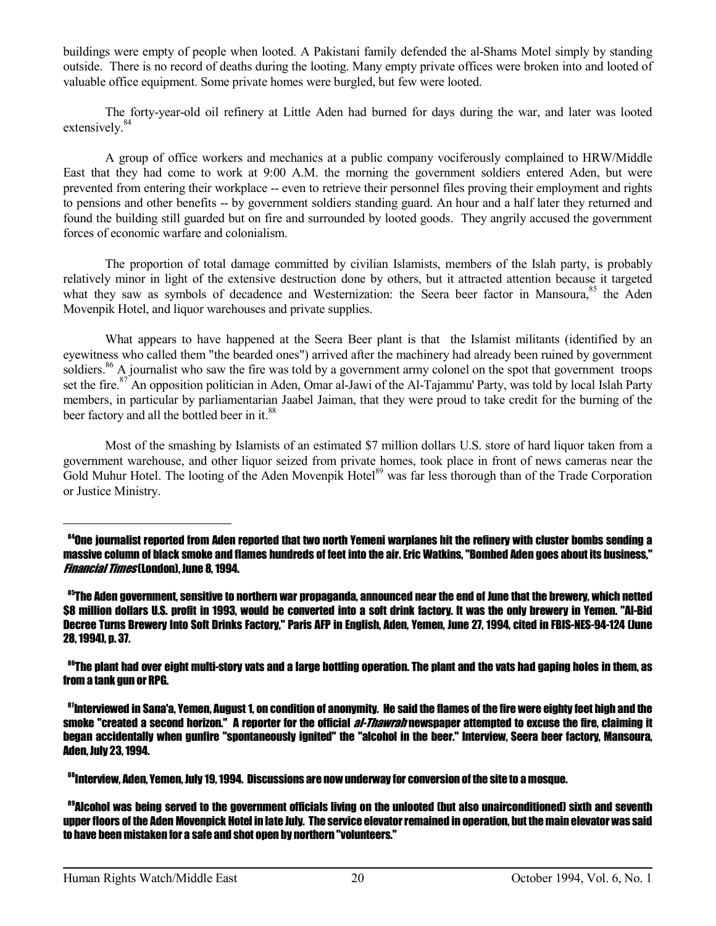buildings were empty of people when looted. A Pakistani family defended the al-Shams Motel simply by standing outside. There is no record of deaths during the looting. Many empty private offices were broken into and looted of valuable office equipment. Some private homes were burgled, but few were looted.

 The forty-year-old oil refinery at Little Aden had burned for days during the war, and later was looted extensively.<sup>84</sup>

 A group of office workers and mechanics at a public company vociferously complained to HRW/Middle East that they had come to work at 9:00 A.M. the morning the government soldiers entered Aden, but were prevented from entering their workplace -- even to retrieve their personnel files proving their employment and rights to pensions and other benefits -- by government soldiers standing guard. An hour and a half later they returned and found the building still guarded but on fire and surrounded by looted goods. They angrily accused the government forces of economic warfare and colonialism.

 The proportion of total damage committed by civilian Islamists, members of the Islah party, is probably relatively minor in light of the extensive destruction done by others, but it attracted attention because it targeted what they saw as symbols of decadence and Westernization: the Seera beer factor in Mansoura.<sup>85</sup> the Aden Movenpik Hotel, and liquor warehouses and private supplies.

 What appears to have happened at the Seera Beer plant is that the Islamist militants (identified by an eyewitness who called them "the bearded ones") arrived after the machinery had already been ruined by government soldiers.<sup>86</sup> A journalist who saw the fire was told by a government army colonel on the spot that government troops set the fire.<sup>87</sup> An opposition politician in Aden, Omar al-Jawi of the Al-Tajammu' Party, was told by local Islah Party members, in particular by parliamentarian Jaabel Jaiman, that they were proud to take credit for the burning of the beer factory and all the bottled beer in it.<sup>88</sup>

 Most of the smashing by Islamists of an estimated \$7 million dollars U.S. store of hard liquor taken from a government warehouse, and other liquor seized from private homes, took place in front of news cameras near the Gold Muhur Hotel. The looting of the Aden Movenpik Hotel<sup>89</sup> was far less thorough than of the Trade Corporation or Justice Ministry.

<sup>&</sup>lt;sup>84</sup>One journalist reported from Aden reported that two north Yemeni warplanes hit the refinery with cluster bombs sending a massive column of black smoke and flames hundreds of feet into the air. Eric Watkins, "Bombed Aden goes about its business," Financial Times (London), June 8, 1994.

 $85$ The Aden government, sensitive to northern war propaganda, announced near the end of June that the brewery, which netted \$8 million dollars U.S. profit in 1993, would be converted into a soft drink factory. It was the only brewery in Yemen. "Al-Bid Decree Turns Brewery Into Soft Drinks Factory," Paris AFP in English, Aden, Yemen, June 27, 1994, cited in FBIS-NES-94-124 (June 28, 1994), p. 37.

 $^{86}$ The plant had over eight multi-story vats and a large bottling operation. The plant and the vats had gaping holes in them, as from a tank gun or RPG.

<sup>&</sup>lt;sup>87</sup>Interviewed in Sana'a, Yemen, August 1, on condition of anonymity. He said the flames of the fire were eighty feet high and the smoke "created a second horizon." A reporter for the official *al-Thawrah* newspaper attempted to excuse the fire, claiming it began accidentally when gunfire "spontaneously ignited" the "alcohol in the beer." Interview, Seera beer factory, Mansoura, Aden, July 23, 1994.

<sup>&</sup>lt;sup>88</sup>Interview. Aden. Yemen. July 19, 1994. Discussions are now underway for conversion of the site to a mosque.

<sup>&</sup>lt;sup>89</sup>Alcohol was being served to the government officials living on the unlooted (but also unairconditioned) sixth and seventh upper floors of the Aden Movenpick Hotel in late July. The service elevator remained in operation, but the main elevator was said to have been mistaken for a safe and shot open by northern "volunteers."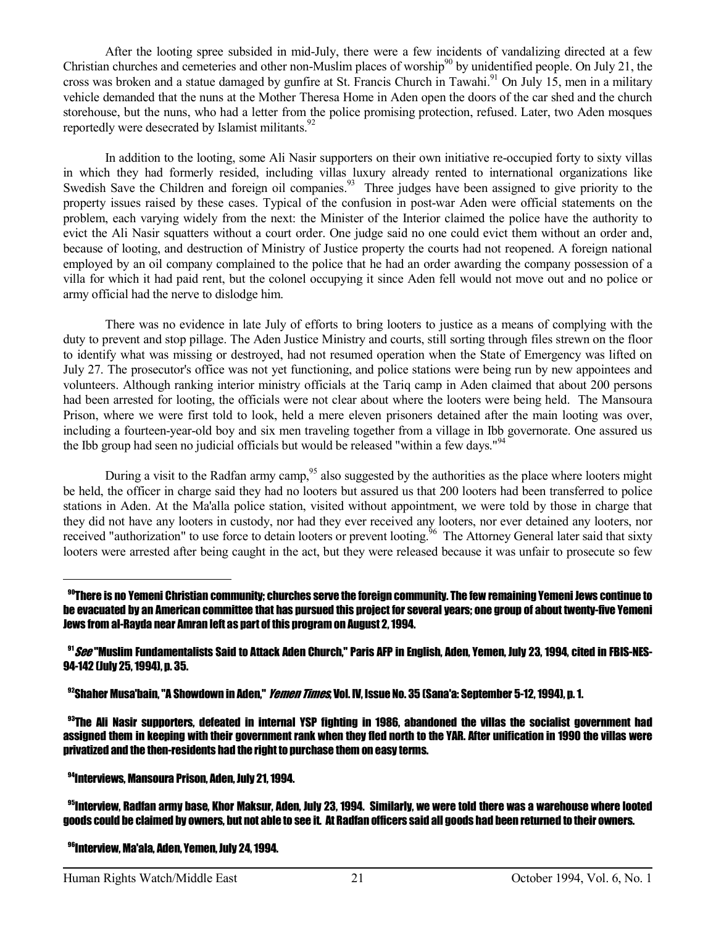After the looting spree subsided in mid-July, there were a few incidents of vandalizing directed at a few Christian churches and cemeteries and other non-Muslim places of worship $^{90}$  by unidentified people. On July 21, the cross was broken and a statue damaged by gunfire at St. Francis Church in Tawahi.<sup>91</sup> On July 15, men in a military vehicle demanded that the nuns at the Mother Theresa Home in Aden open the doors of the car shed and the church storehouse, but the nuns, who had a letter from the police promising protection, refused. Later, two Aden mosques reportedly were desecrated by Islamist militants.<sup>92</sup>

 In addition to the looting, some Ali Nasir supporters on their own initiative re-occupied forty to sixty villas in which they had formerly resided, including villas luxury already rented to international organizations like Swedish Save the Children and foreign oil companies.<sup>93</sup> Three judges have been assigned to give priority to the property issues raised by these cases. Typical of the confusion in post-war Aden were official statements on the problem, each varying widely from the next: the Minister of the Interior claimed the police have the authority to evict the Ali Nasir squatters without a court order. One judge said no one could evict them without an order and, because of looting, and destruction of Ministry of Justice property the courts had not reopened. A foreign national employed by an oil company complained to the police that he had an order awarding the company possession of a villa for which it had paid rent, but the colonel occupying it since Aden fell would not move out and no police or army official had the nerve to dislodge him.

 There was no evidence in late July of efforts to bring looters to justice as a means of complying with the duty to prevent and stop pillage. The Aden Justice Ministry and courts, still sorting through files strewn on the floor to identify what was missing or destroyed, had not resumed operation when the State of Emergency was lifted on July 27. The prosecutor's office was not yet functioning, and police stations were being run by new appointees and volunteers. Although ranking interior ministry officials at the Tariq camp in Aden claimed that about 200 persons had been arrested for looting, the officials were not clear about where the looters were being held. The Mansoura Prison, where we were first told to look, held a mere eleven prisoners detained after the main looting was over, including a fourteen-year-old boy and six men traveling together from a village in Ibb governorate. One assured us the Ibb group had seen no judicial officials but would be released "within a few days."<sup>94</sup>

During a visit to the Radfan army camp,<sup>95</sup> also suggested by the authorities as the place where looters might be held, the officer in charge said they had no looters but assured us that 200 looters had been transferred to police stations in Aden. At the Ma'alla police station, visited without appointment, we were told by those in charge that they did not have any looters in custody, nor had they ever received any looters, nor ever detained any looters, nor received "authorization" to use force to detain looters or prevent looting.<sup>56</sup> The Attorney General later said that sixty looters were arrested after being caught in the act, but they were released because it was unfair to prosecute so few

<sup>91</sup> See "Muslim Fundamentalists Said to Attack Aden Church," Paris AFP in English, Aden, Yemen, July 23, 1994, cited in FBIS-NES-94-142 (July 25, 1994), p. 35.

<sup>92</sup>Shaher Musa'bain, "A Showdown in Aden," *Yemen Times*, Vol. IV, Issue No. 35 (Sana'a: September 5-12, 1994), p. 1.

<sup>93</sup>The Ali Nasir supporters, defeated in internal YSP fighting in 1986, abandoned the villas the socialist government had assigned them in keeping with their government rank when they fled north to the YAR. After unification in 1990 the villas were privatized and the then-residents had the right to purchase them on easy terms.

<sup>94</sup>Interviews, Mansoura Prison, Aden, July 21, 1994.

<sup>95</sup>Interview. Radfan army base. Khor Maksur, Aden, July 23, 1994. Similarly, we were told there was a warehouse where looted goods could be claimed by owners, but not able to see it. At Radfan officers said all goods had been returned to their owners.

96Interview, Ma'ala, Aden, Yemen, July 24, 1994.

L,

<sup>90</sup>There is no Yemeni Christian community; churches serve the foreign community. The few remaining Yemeni Jews continue to be evacuated by an American committee that has pursued this project for several years; one group of about twenty-five Yemeni Jews from al-Rayda near Amran left as part of this program on August 2, 1994.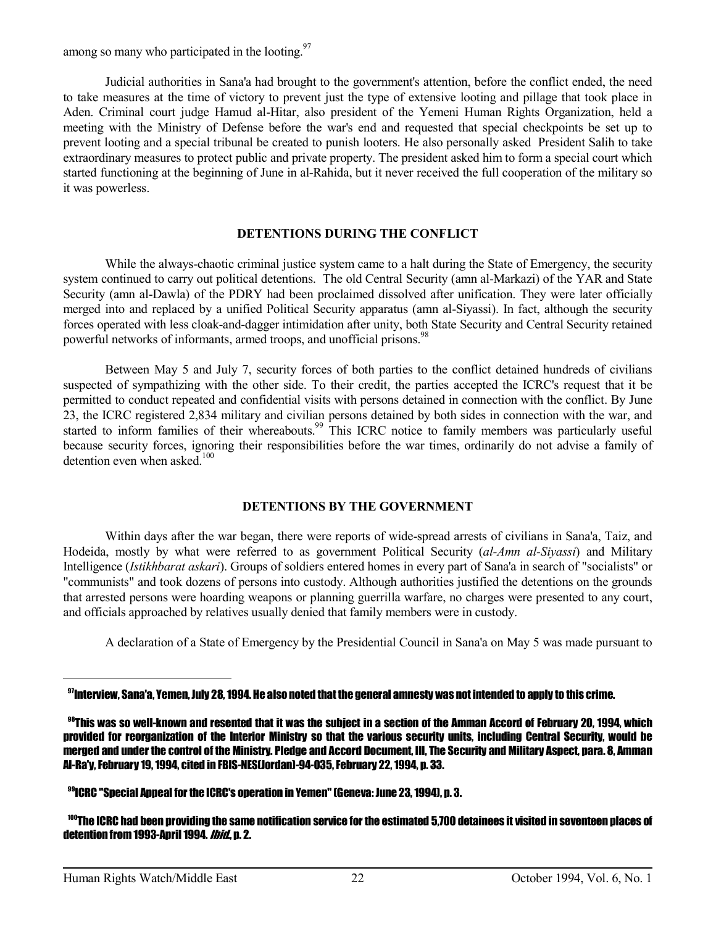among so many who participated in the looting. $97$ 

 Judicial authorities in Sana'a had brought to the government's attention, before the conflict ended, the need to take measures at the time of victory to prevent just the type of extensive looting and pillage that took place in Aden. Criminal court judge Hamud al-Hitar, also president of the Yemeni Human Rights Organization, held a meeting with the Ministry of Defense before the war's end and requested that special checkpoints be set up to prevent looting and a special tribunal be created to punish looters. He also personally asked President Salih to take extraordinary measures to protect public and private property. The president asked him to form a special court which started functioning at the beginning of June in al-Rahida, but it never received the full cooperation of the military so it was powerless.

## **DETENTIONS DURING THE CONFLICT**

 While the always-chaotic criminal justice system came to a halt during the State of Emergency, the security system continued to carry out political detentions. The old Central Security (amn al-Markazi) of the YAR and State Security (amn al-Dawla) of the PDRY had been proclaimed dissolved after unification. They were later officially merged into and replaced by a unified Political Security apparatus (amn al-Siyassi). In fact, although the security forces operated with less cloak-and-dagger intimidation after unity, both State Security and Central Security retained powerful networks of informants, armed troops, and unofficial prisons.<sup>98</sup>

 Between May 5 and July 7, security forces of both parties to the conflict detained hundreds of civilians suspected of sympathizing with the other side. To their credit, the parties accepted the ICRC's request that it be permitted to conduct repeated and confidential visits with persons detained in connection with the conflict. By June 23, the ICRC registered 2,834 military and civilian persons detained by both sides in connection with the war, and started to inform families of their whereabouts.<sup>99</sup> This ICRC notice to family members was particularly useful because security forces, ignoring their responsibilities before the war times, ordinarily do not advise a family of detention even when asked  $100$ 

## **DETENTIONS BY THE GOVERNMENT**

 Within days after the war began, there were reports of wide-spread arrests of civilians in Sana'a, Taiz, and Hodeida, mostly by what were referred to as government Political Security (*al-Amn al-Siyassi*) and Military Intelligence (*Istikhbarat askari*). Groups of soldiers entered homes in every part of Sana'a in search of "socialists" or "communists" and took dozens of persons into custody. Although authorities justified the detentions on the grounds that arrested persons were hoarding weapons or planning guerrilla warfare, no charges were presented to any court, and officials approached by relatives usually denied that family members were in custody.

A declaration of a State of Emergency by the Presidential Council in Sana'a on May 5 was made pursuant to

<sup>99</sup>ICRC "Special Appeal for the ICRC's operation in Yemen" (Geneva: June 23, 1994), p. 3.

<sup>97</sup>Interview, Sana'a, Yemen, July 28, 1994. He also noted that the general amnesty was not intended to apply to this crime.

 $^{98}$ This was so well-known and resented that it was the subject in a section of the Amman Accord of February 20, 1994, which provided for reorganization of the Interior Ministry so that the various security units, including Central Security, would be merged and under the control of the Ministry. Pledge and Accord Document, III, The Security and Military Aspect, para. 8, Amman Al-Ra'y, February 19, 1994, cited in FBIS-NES(Jordan)-94-035, February 22, 1994, p. 33.

<sup>100</sup>The ICRC had been providing the same notification service for the estimated 5,700 detainees it visited in seventeen places of detention from 1993-April 1994. *Ibid*., p. 2.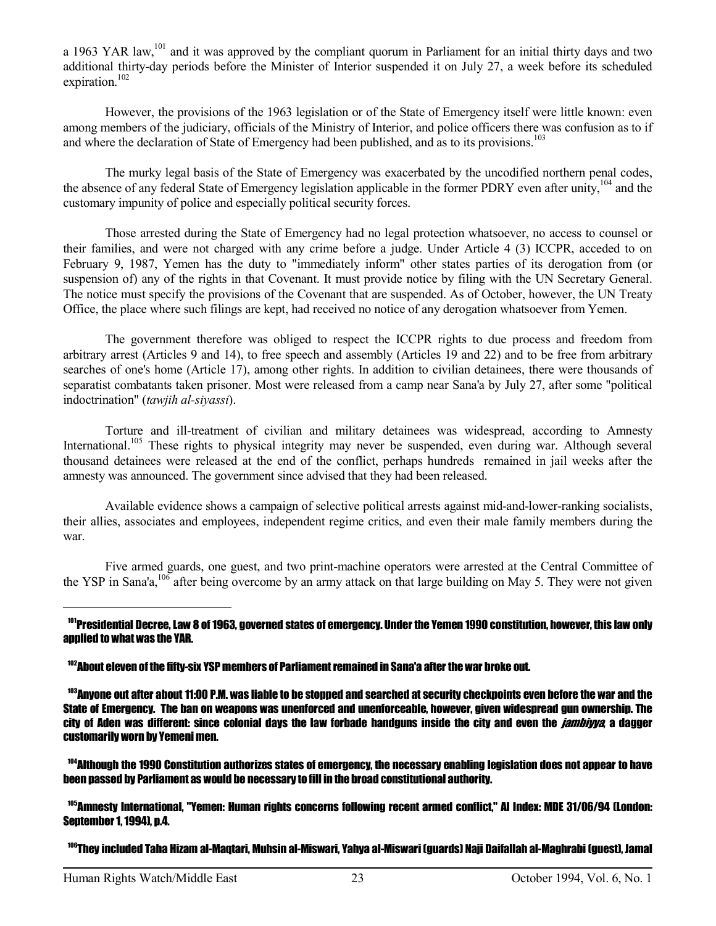a 1963 YAR law,<sup>101</sup> and it was approved by the compliant quorum in Parliament for an initial thirty days and two additional thirty-day periods before the Minister of Interior suspended it on July 27, a week before its scheduled expiration. $102$ 

 However, the provisions of the 1963 legislation or of the State of Emergency itself were little known: even among members of the judiciary, officials of the Ministry of Interior, and police officers there was confusion as to if and where the declaration of State of Emergency had been published, and as to its provisions.<sup>103</sup>

 The murky legal basis of the State of Emergency was exacerbated by the uncodified northern penal codes, the absence of any federal State of Emergency legislation applicable in the former PDRY even after unity,<sup>104</sup> and the customary impunity of police and especially political security forces.

 Those arrested during the State of Emergency had no legal protection whatsoever, no access to counsel or their families, and were not charged with any crime before a judge. Under Article 4 (3) ICCPR, acceded to on February 9, 1987, Yemen has the duty to "immediately inform" other states parties of its derogation from (or suspension of) any of the rights in that Covenant. It must provide notice by filing with the UN Secretary General. The notice must specify the provisions of the Covenant that are suspended. As of October, however, the UN Treaty Office, the place where such filings are kept, had received no notice of any derogation whatsoever from Yemen.

 The government therefore was obliged to respect the ICCPR rights to due process and freedom from arbitrary arrest (Articles 9 and 14), to free speech and assembly (Articles 19 and 22) and to be free from arbitrary searches of one's home (Article 17), among other rights. In addition to civilian detainees, there were thousands of separatist combatants taken prisoner. Most were released from a camp near Sana'a by July 27, after some "political indoctrination" (*tawjih al-siyassi*).

 Torture and ill-treatment of civilian and military detainees was widespread, according to Amnesty International.<sup>105</sup> These rights to physical integrity may never be suspended, even during war. Although several thousand detainees were released at the end of the conflict, perhaps hundreds remained in jail weeks after the amnesty was announced. The government since advised that they had been released.

 Available evidence shows a campaign of selective political arrests against mid-and-lower-ranking socialists, their allies, associates and employees, independent regime critics, and even their male family members during the war.

 Five armed guards, one guest, and two print-machine operators were arrested at the Central Committee of the YSP in Sana'a,<sup>106</sup> after being overcome by an army attack on that large building on May 5. They were not given

<sup>104</sup>Although the 1990 Constitution authorizes states of emergency, the necessary enabling legislation does not appear to have been passed by Parliament as would be necessary to fill in the broad constitutional authority.

<sup>105</sup>Amnesty International, "Yemen: Human rights concerns following recent armed conflict," AI Index: MDE 31/06/94 (London: September 1, 1994), p.4.

106They included Taha Hizam al-Maqtari, Muhsin al-Miswari, Yahya al-Miswari (guards) Naji Daifallah al-Maghrabi (guest), Jamal

<sup>&</sup>lt;sup>101</sup>Presidential Decree, Law 8 of 1963, governed states of emergency. Under the Yemen 1990 constitution, however, this law only applied to what was the YAR.

<sup>102</sup>About eleven of the fifty-six YSP members of Parliament remained in Sana'a after the war broke out.

<sup>103</sup>Anyone out after about 11:00 P.M. was liable to be stopped and searched at security checkpoints even before the war and the State of Emergency. The ban on weapons was unenforced and unenforceable, however, given widespread gun ownership. The city of Aden was different: since colonial days the law forbade handguns inside the city and even the *jambiyya* a dagger customarily worn by Yemeni men.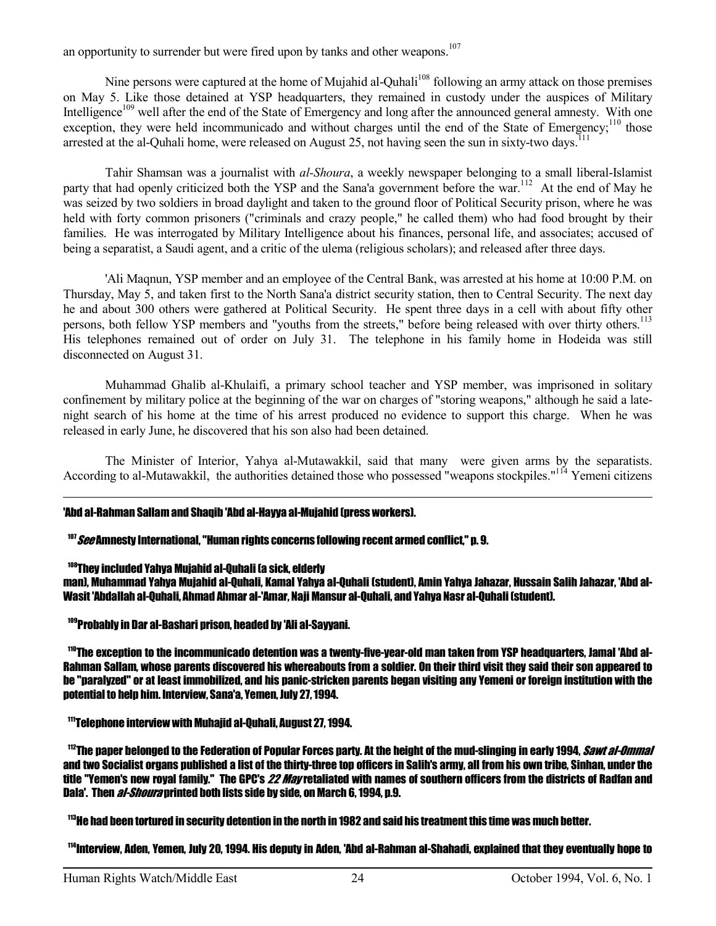an opportunity to surrender but were fired upon by tanks and other weapons.<sup>107</sup>

Nine persons were captured at the home of Mujahid al-Quhali<sup>108</sup> following an army attack on those premises on May 5. Like those detained at YSP headquarters, they remained in custody under the auspices of Military Intelligence<sup>109</sup> well after the end of the State of Emergency and long after the announced general amnesty. With one exception, they were held incommunicado and without charges until the end of the State of Emergency;<sup>110</sup> those arrested at the al-Quhali home, were released on August 25, not having seen the sun in sixty-two days.<sup>111</sup>

 Tahir Shamsan was a journalist with *al-Shoura*, a weekly newspaper belonging to a small liberal-Islamist party that had openly criticized both the YSP and the Sana'a government before the war.<sup>112</sup> At the end of May he was seized by two soldiers in broad daylight and taken to the ground floor of Political Security prison, where he was held with forty common prisoners ("criminals and crazy people," he called them) who had food brought by their families. He was interrogated by Military Intelligence about his finances, personal life, and associates; accused of being a separatist, a Saudi agent, and a critic of the ulema (religious scholars); and released after three days.

 'Ali Maqnun, YSP member and an employee of the Central Bank, was arrested at his home at 10:00 P.M. on Thursday, May 5, and taken first to the North Sana'a district security station, then to Central Security. The next day he and about 300 others were gathered at Political Security. He spent three days in a cell with about fifty other persons, both fellow YSP members and "youths from the streets," before being released with over thirty others.<sup>113</sup> His telephones remained out of order on July 31. The telephone in his family home in Hodeida was still disconnected on August 31.

 Muhammad Ghalib al-Khulaifi, a primary school teacher and YSP member, was imprisoned in solitary confinement by military police at the beginning of the war on charges of "storing weapons," although he said a latenight search of his home at the time of his arrest produced no evidence to support this charge. When he was released in early June, he discovered that his son also had been detained.

 The Minister of Interior, Yahya al-Mutawakkil, said that many were given arms by the separatists. According to al-Mutawakkil, the authorities detained those who possessed "weapons stockpiles."<sup>114</sup> Yemeni citizens

#### 'Abd al-Rahman Sallam and Shaqib 'Abd al-Hayya al-Mujahid (press workers).

 $107$  See Amnesty International. "Human rights concerns following recent armed conflict." p. 9.

#### <sup>108</sup>They included Yahya Mujahid al-Quhali (a sick, elderly

 $\overline{a}$ 

man), Muhammad Yahya Mujahid al-Quhali, Kamal Yahya al-Quhali (student), Amin Yahya Jahazar, Hussain Salih Jahazar, 'Abd al-Wasit 'Abdallah al-Quhali, Ahmad Ahmar al-'Amar, Naji Mansur al-Quhali, and Yahya Nasr al-Quhali (student).

<sup>109</sup>Probably in Dar al-Bashari prison, headed by 'Ali al-Sayyani.

 110The exception to the incommunicado detention was a twenty-five-year-old man taken from YSP headquarters, Jamal 'Abd al-Rahman Sallam, whose parents discovered his whereabouts from a soldier. On their third visit they said their son appeared to be "paralyzed" or at least immobilized, and his panic-stricken parents began visiting any Yemeni or foreign institution with the potential to help him. Interview, Sana'a, Yemen, July 27, 1994.

<sup>111</sup>Telephone interview with Muhajid al-Quhali, August 27, 1994.

<sup>112</sup>The paper belonged to the Federation of Popular Forces party. At the height of the mud-slinging in early 1994. *Sawt al-Ommal* and two Socialist organs published a list of the thirty-three top officers in Salih's army, all from his own tribe, Sinhan, under the title "Yemen's new royal family." The GPC's 22 May retaliated with names of southern officers from the districts of Radfan and Dala'. Then *al-Shoura* printed both lists side by side, on March 6, 1994, p.9.

<sup>113</sup>He had been tortured in security detention in the north in 1982 and said his treatment this time was much better.

114Interview, Aden, Yemen, July 20, 1994. His deputy in Aden, 'Abd al-Rahman al-Shahadi, explained that they eventually hope to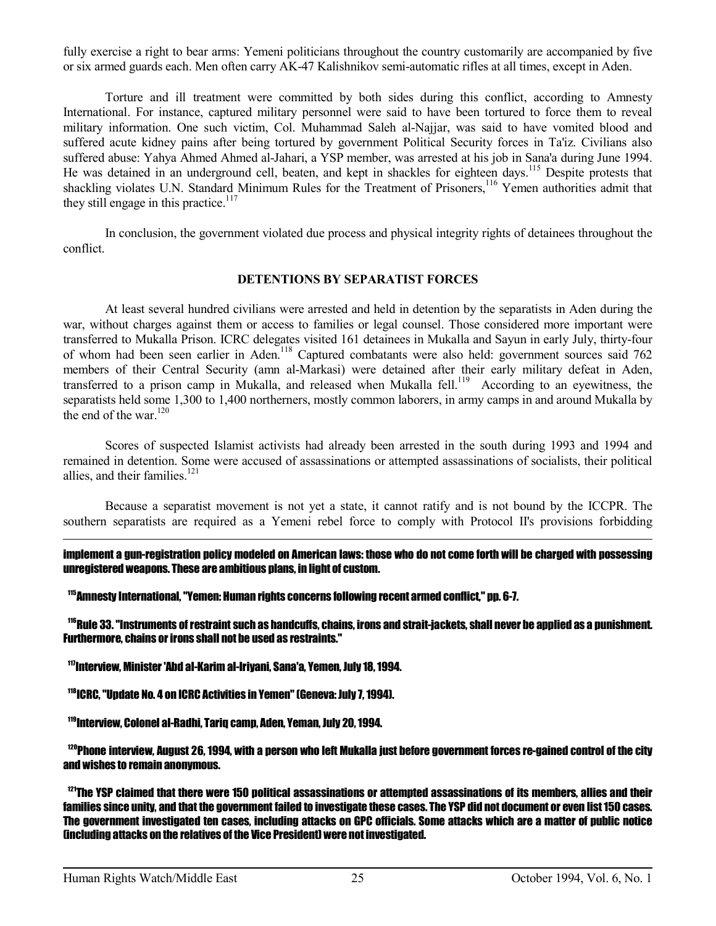fully exercise a right to bear arms: Yemeni politicians throughout the country customarily are accompanied by five or six armed guards each. Men often carry AK-47 Kalishnikov semi-automatic rifles at all times, except in Aden.

 Torture and ill treatment were committed by both sides during this conflict, according to Amnesty International. For instance, captured military personnel were said to have been tortured to force them to reveal military information. One such victim, Col. Muhammad Saleh al-Najjar, was said to have vomited blood and suffered acute kidney pains after being tortured by government Political Security forces in Ta'iz. Civilians also suffered abuse: Yahya Ahmed Ahmed al-Jahari, a YSP member, was arrested at his job in Sana'a during June 1994. He was detained in an underground cell, beaten, and kept in shackles for eighteen days.<sup>115</sup> Despite protests that shackling violates U.N. Standard Minimum Rules for the Treatment of Prisoners,<sup>116</sup> Yemen authorities admit that they still engage in this practice.<sup>117</sup>

 In conclusion, the government violated due process and physical integrity rights of detainees throughout the conflict.

#### **DETENTIONS BY SEPARATIST FORCES**

 At least several hundred civilians were arrested and held in detention by the separatists in Aden during the war, without charges against them or access to families or legal counsel. Those considered more important were transferred to Mukalla Prison. ICRC delegates visited 161 detainees in Mukalla and Sayun in early July, thirty-four of whom had been seen earlier in Aden.<sup>118</sup> Captured combatants were also held: government sources said 762 members of their Central Security (amn al-Markasi) were detained after their early military defeat in Aden, transferred to a prison camp in Mukalla, and released when Mukalla fell.<sup>119</sup> According to an eyewitness, the separatists held some 1,300 to 1,400 northerners, mostly common laborers, in army camps in and around Mukalla by the end of the war.<sup>120</sup>

 Scores of suspected Islamist activists had already been arrested in the south during 1993 and 1994 and remained in detention. Some were accused of assassinations or attempted assassinations of socialists, their political allies, and their families. $121$ 

 Because a separatist movement is not yet a state, it cannot ratify and is not bound by the ICCPR. The southern separatists are required as a Yemeni rebel force to comply with Protocol II's provisions forbidding

implement a gun-registration policy modeled on American laws: those who do not come forth will be charged with possessing unregistered weapons. These are ambitious plans, in light of custom.

<sup>115</sup>Amnesty International, "Yemen: Human rights concerns following recent armed conflict," pp. 6-7.

<sup>116</sup>Rule 33. "Instruments of restraint such as handcuffs, chains, irons and strait-jackets, shall never be applied as a punishment. Furthermore, chains or irons shall not be used as restraints."

<sup>117</sup>Interview, Minister 'Abd al-Karim al-Iriyani, Sana'a, Yemen, July 18, 1994.

<sup>118</sup>ICRC, "Update No. 4 on ICRC Activities in Yemen" (Geneva: July 7, 1994).

<sup>119</sup>Interview, Colonel al-Radhi, Tariq camp, Aden, Yeman, July 20, 1994.

 $^{120}$ Phone interview. August 26, 1994, with a person who left Mukalla just before government forces re-gained control of the city and wishes to remain anonymous.

 $121$ The YSP claimed that there were 150 political assassinations or attempted assassinations of its members, allies and their families since unity, and that the government failed to investigate these cases. The YSP did not document or even list 150 cases. The government investigated ten cases, including attacks on GPC officials. Some attacks which are a matter of public notice (including attacks on the relatives of the Vice President) were not investigated.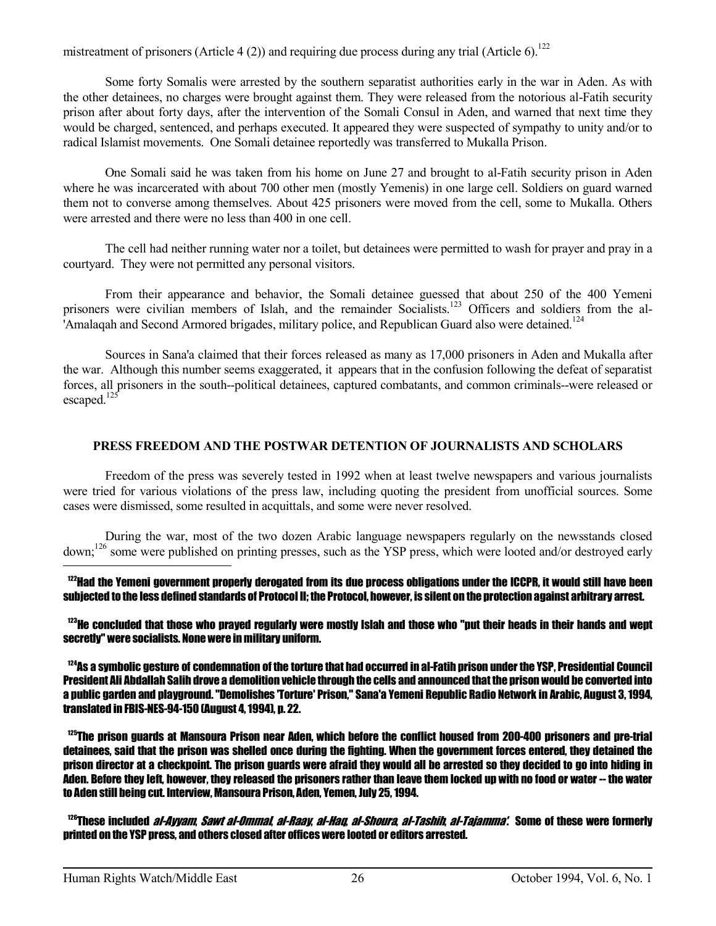mistreatment of prisoners (Article 4 (2)) and requiring due process during any trial (Article 6).<sup>122</sup>

 Some forty Somalis were arrested by the southern separatist authorities early in the war in Aden. As with the other detainees, no charges were brought against them. They were released from the notorious al-Fatih security prison after about forty days, after the intervention of the Somali Consul in Aden, and warned that next time they would be charged, sentenced, and perhaps executed. It appeared they were suspected of sympathy to unity and/or to radical Islamist movements. One Somali detainee reportedly was transferred to Mukalla Prison.

 One Somali said he was taken from his home on June 27 and brought to al-Fatih security prison in Aden where he was incarcerated with about 700 other men (mostly Yemenis) in one large cell. Soldiers on guard warned them not to converse among themselves. About 425 prisoners were moved from the cell, some to Mukalla. Others were arrested and there were no less than 400 in one cell.

 The cell had neither running water nor a toilet, but detainees were permitted to wash for prayer and pray in a courtyard. They were not permitted any personal visitors.

 From their appearance and behavior, the Somali detainee guessed that about 250 of the 400 Yemeni prisoners were civilian members of Islah, and the remainder Socialists.<sup>123</sup> Officers and soldiers from the al-'Amalaqah and Second Armored brigades, military police, and Republican Guard also were detained.<sup>124</sup>

 Sources in Sana'a claimed that their forces released as many as 17,000 prisoners in Aden and Mukalla after the war. Although this number seems exaggerated, it appears that in the confusion following the defeat of separatist forces, all prisoners in the south--political detainees, captured combatants, and common criminals--were released or escaped. $125$ 

## **PRESS FREEDOM AND THE POSTWAR DETENTION OF JOURNALISTS AND SCHOLARS**

 Freedom of the press was severely tested in 1992 when at least twelve newspapers and various journalists were tried for various violations of the press law, including quoting the president from unofficial sources. Some cases were dismissed, some resulted in acquittals, and some were never resolved.

 During the war, most of the two dozen Arabic language newspapers regularly on the newsstands closed down;<sup>126</sup> some were published on printing presses, such as the YSP press, which were looted and/or destroyed early  $\overline{a}$ 

 $122$ Had the Yemeni government properly derogated from its due process obligations under the ICCPR. It would still have been subjected to the less defined standards of Protocol II; the Protocol, however, is silent on the protection against arbitrary arrest.

 $123$ He concluded that those who prayed regularly were mostly Islah and those who "put their heads in their hands and wept secretly" were socialists. None were in military uniform.

 $124$ As a symbolic gesture of condemnation of the torture that had occurred in al-Fatih prison under the YSP. Presidential Council President Ali Abdallah Salih drove a demolition vehicle through the cells and announced that the prison would be converted into a public garden and playground. "Demolishes 'Torture' Prison," Sana'a Yemeni Republic Radio Network in Arabic, August 3, 1994, translated in FBIS-NES-94-150 (August 4, 1994), p. 22.

 $^{125}$ The prison guards at Mansoura Prison near Aden. which before the conflict housed from 200-400 prisoners and pre-trial detainees, said that the prison was shelled once during the fighting. When the government forces entered, they detained the prison director at a checkpoint. The prison guards were afraid they would all be arrested so they decided to go into hiding in Aden. Before they left, however, they released the prisoners rather than leave them locked up with no food or water -- the water to Aden still being cut. Interview, Mansoura Prison, Aden, Yemen, July 25, 1994.

<sup>126</sup>These included *al-Avyam. Sawt al-Ommal, al-Raay, al-Hau, al-Shoura, al-Tashih, al-Taiamma'.* Some of these were formerly printed on the YSP press, and others closed after offices were looted or editors arrested.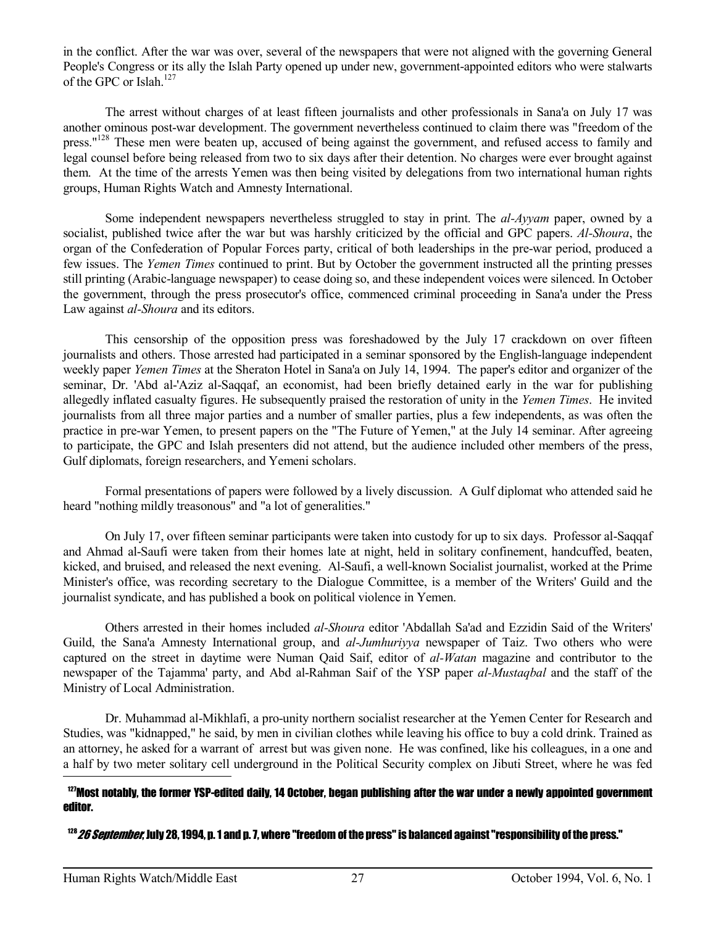in the conflict. After the war was over, several of the newspapers that were not aligned with the governing General People's Congress or its ally the Islah Party opened up under new, government-appointed editors who were stalwarts of the GPC or Islah.<sup>127</sup>

 The arrest without charges of at least fifteen journalists and other professionals in Sana'a on July 17 was another ominous post-war development. The government nevertheless continued to claim there was "freedom of the press."<sup>128</sup> These men were beaten up, accused of being against the government, and refused access to family and legal counsel before being released from two to six days after their detention. No charges were ever brought against them. At the time of the arrests Yemen was then being visited by delegations from two international human rights groups, Human Rights Watch and Amnesty International.

 Some independent newspapers nevertheless struggled to stay in print. The *al-Ayyam* paper, owned by a socialist, published twice after the war but was harshly criticized by the official and GPC papers. *Al-Shoura*, the organ of the Confederation of Popular Forces party, critical of both leaderships in the pre-war period, produced a few issues. The *Yemen Times* continued to print. But by October the government instructed all the printing presses still printing (Arabic-language newspaper) to cease doing so, and these independent voices were silenced. In October the government, through the press prosecutor's office, commenced criminal proceeding in Sana'a under the Press Law against *al-Shoura* and its editors.

 This censorship of the opposition press was foreshadowed by the July 17 crackdown on over fifteen journalists and others. Those arrested had participated in a seminar sponsored by the English-language independent weekly paper *Yemen Times* at the Sheraton Hotel in Sana'a on July 14, 1994. The paper's editor and organizer of the seminar, Dr. 'Abd al-'Aziz al-Saqqaf, an economist, had been briefly detained early in the war for publishing allegedly inflated casualty figures. He subsequently praised the restoration of unity in the *Yemen Times*. He invited journalists from all three major parties and a number of smaller parties, plus a few independents, as was often the practice in pre-war Yemen, to present papers on the "The Future of Yemen," at the July 14 seminar. After agreeing to participate, the GPC and Islah presenters did not attend, but the audience included other members of the press, Gulf diplomats, foreign researchers, and Yemeni scholars.

 Formal presentations of papers were followed by a lively discussion. A Gulf diplomat who attended said he heard "nothing mildly treasonous" and "a lot of generalities."

 On July 17, over fifteen seminar participants were taken into custody for up to six days. Professor al-Saqqaf and Ahmad al-Saufi were taken from their homes late at night, held in solitary confinement, handcuffed, beaten, kicked, and bruised, and released the next evening. Al-Saufi, a well-known Socialist journalist, worked at the Prime Minister's office, was recording secretary to the Dialogue Committee, is a member of the Writers' Guild and the journalist syndicate, and has published a book on political violence in Yemen.

 Others arrested in their homes included *al-Shoura* editor 'Abdallah Sa'ad and Ezzidin Said of the Writers' Guild, the Sana'a Amnesty International group, and *al-Jumhuriyya* newspaper of Taiz. Two others who were captured on the street in daytime were Numan Qaid Saif, editor of *al-Watan* magazine and contributor to the newspaper of the Tajamma' party, and Abd al-Rahman Saif of the YSP paper *al-Mustaqbal* and the staff of the Ministry of Local Administration.

 Dr. Muhammad al-Mikhlafi, a pro-unity northern socialist researcher at the Yemen Center for Research and Studies, was "kidnapped," he said, by men in civilian clothes while leaving his office to buy a cold drink. Trained as an attorney, he asked for a warrant of arrest but was given none. He was confined, like his colleagues, in a one and a half by two meter solitary cell underground in the Political Security complex on Jibuti Street, where he was fed

#### $127$ Most notably, the former YSP-edited daily, 14 October, began publishing after the war under a newly appointed government editor.

 $^{128}$  26 September, July 28, 1994, p. 1 and p. 7, where "freedom of the press" is balanced against "responsibility of the press."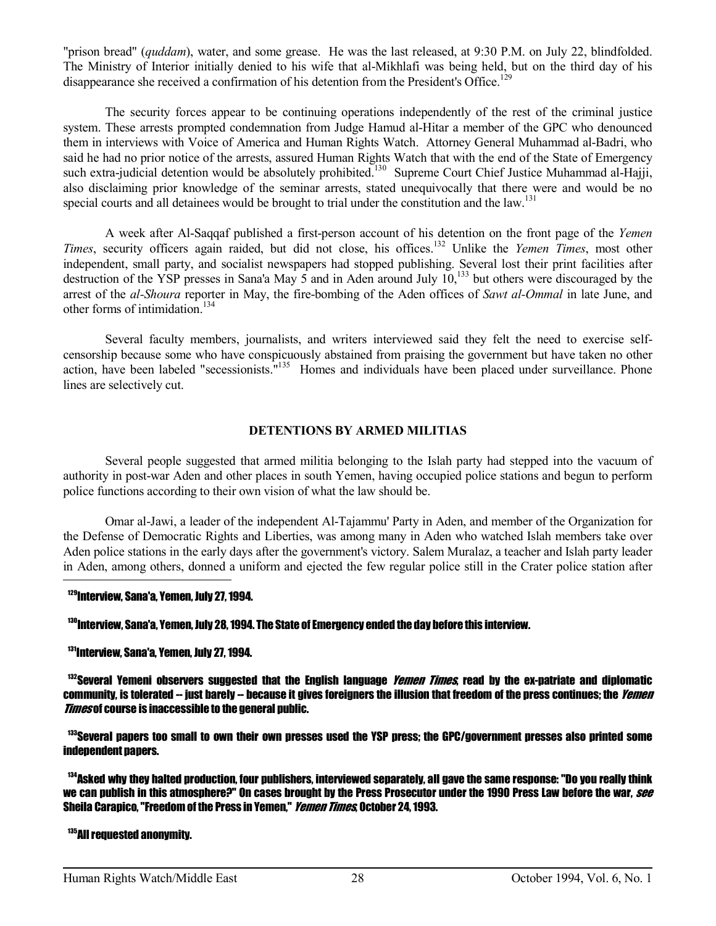"prison bread" (*quddam*), water, and some grease. He was the last released, at 9:30 P.M. on July 22, blindfolded. The Ministry of Interior initially denied to his wife that al-Mikhlafi was being held, but on the third day of his disappearance she received a confirmation of his detention from the President's Office.<sup>129</sup>

 The security forces appear to be continuing operations independently of the rest of the criminal justice system. These arrests prompted condemnation from Judge Hamud al-Hitar a member of the GPC who denounced them in interviews with Voice of America and Human Rights Watch. Attorney General Muhammad al-Badri, who said he had no prior notice of the arrests, assured Human Rights Watch that with the end of the State of Emergency such extra-judicial detention would be absolutely prohibited.<sup>130</sup> Supreme Court Chief Justice Muhammad al-Hajji, also disclaiming prior knowledge of the seminar arrests, stated unequivocally that there were and would be no special courts and all detainees would be brought to trial under the constitution and the  $\text{law}$ .<sup>131</sup>

 A week after Al-Saqqaf published a first-person account of his detention on the front page of the *Yemen Times*, security officers again raided, but did not close, his offices.<sup>132</sup> Unlike the *Yemen Times*, most other independent, small party, and socialist newspapers had stopped publishing. Several lost their print facilities after destruction of the YSP presses in Sana'a May 5 and in Aden around July 10,<sup>133</sup> but others were discouraged by the arrest of the *al-Shoura* reporter in May, the fire-bombing of the Aden offices of *Sawt al-Ommal* in late June, and other forms of intimidation.<sup>134</sup>

 Several faculty members, journalists, and writers interviewed said they felt the need to exercise selfcensorship because some who have conspicuously abstained from praising the government but have taken no other action, have been labeled "secessionists."<sup>135</sup> Homes and individuals have been placed under surveillance. Phone lines are selectively cut.

## **DETENTIONS BY ARMED MILITIAS**

 Several people suggested that armed militia belonging to the Islah party had stepped into the vacuum of authority in post-war Aden and other places in south Yemen, having occupied police stations and begun to perform police functions according to their own vision of what the law should be.

 Omar al-Jawi, a leader of the independent Al-Tajammu' Party in Aden, and member of the Organization for the Defense of Democratic Rights and Liberties, was among many in Aden who watched Islah members take over Aden police stations in the early days after the government's victory. Salem Muralaz, a teacher and Islah party leader in Aden, among others, donned a uniform and ejected the few regular police still in the Crater police station after

#### <sup>129</sup>Interview, Sana'a, Yemen, July 27, 1994.

#### <sup>130</sup>Interview, Sana'a, Yemen, July 28, 1994. The State of Emergency ended the day before this interview.

#### <sup>131</sup>Interview, Sana'a, Yemen, July 27, 1994.

 $^{132}$ Several Yemeni observers suggested that the English language *Yemen Times*, read by the ex-patriate and diplomatic community, is tolerated -- just barely -- because it gives foreigners the illusion that freedom of the press continues; the *Yemen* **Times of course is inaccessible to the general public.** 

<sup>133</sup>Several papers too small to own their own presses used the YSP press; the GPC/government presses also printed some independent papers.

<sup>134</sup>Asked why they halted production, four publishers, interviewed separately, all gave the same response: "Do you really think we can publish in this atmosphere?" On cases brought by the Press Prosecutor under the 1990 Press Law before the war, see Sheila Carapico, "Freedom of the Press in Yemen," *Yemen Times*, October 24, 1993.

#### <sup>135</sup>All requested anonymity.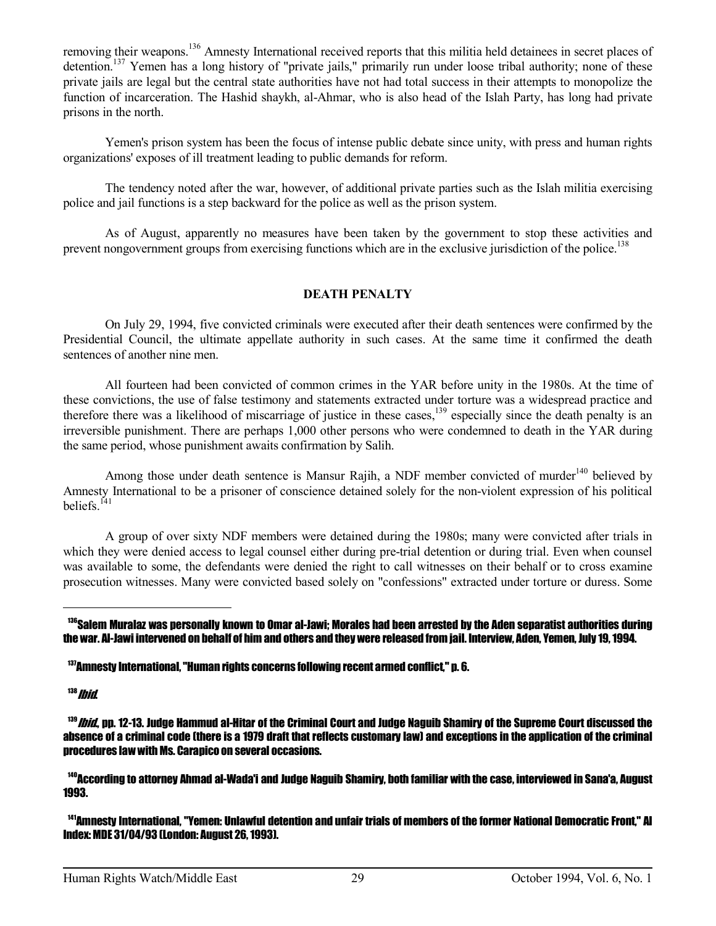removing their weapons.<sup>136</sup> Amnesty International received reports that this militia held detainees in secret places of detention.<sup>137</sup> Yemen has a long history of "private jails," primarily run under loose tribal authority; none of these private jails are legal but the central state authorities have not had total success in their attempts to monopolize the function of incarceration. The Hashid shaykh, al-Ahmar, who is also head of the Islah Party, has long had private prisons in the north.

 Yemen's prison system has been the focus of intense public debate since unity, with press and human rights organizations' exposes of ill treatment leading to public demands for reform.

 The tendency noted after the war, however, of additional private parties such as the Islah militia exercising police and jail functions is a step backward for the police as well as the prison system.

 As of August, apparently no measures have been taken by the government to stop these activities and prevent nongovernment groups from exercising functions which are in the exclusive jurisdiction of the police.<sup>138</sup>

## **DEATH PENALTY**

 On July 29, 1994, five convicted criminals were executed after their death sentences were confirmed by the Presidential Council, the ultimate appellate authority in such cases. At the same time it confirmed the death sentences of another nine men.

 All fourteen had been convicted of common crimes in the YAR before unity in the 1980s. At the time of these convictions, the use of false testimony and statements extracted under torture was a widespread practice and therefore there was a likelihood of miscarriage of justice in these cases,  $139$  especially since the death penalty is an irreversible punishment. There are perhaps 1,000 other persons who were condemned to death in the YAR during the same period, whose punishment awaits confirmation by Salih.

Among those under death sentence is Mansur Rajih, a NDF member convicted of murder<sup>140</sup> believed by Amnesty International to be a prisoner of conscience detained solely for the non-violent expression of his political beliefs.<sup>141</sup>

 A group of over sixty NDF members were detained during the 1980s; many were convicted after trials in which they were denied access to legal counsel either during pre-trial detention or during trial. Even when counsel was available to some, the defendants were denied the right to call witnesses on their behalf or to cross examine prosecution witnesses. Many were convicted based solely on "confessions" extracted under torture or duress. Some

 $138$  Ibid.

 $\overline{a}$ 

<sup>140</sup>According to attorney Ahmad al-Wada'i and Judge Naguib Shamiry, both familiar with the case, interviewed in Sana'a, August 1993.

<sup>141</sup>Amnesty International. "Yemen: Unlawful detention and unfair trials of members of the former National Democratic Front." AI Index: MDE 31/04/93 (London: August 26, 1993).

<sup>&</sup>lt;sup>136</sup>Salem Muralaz was personally known to Omar al-Jawi: Morales had been arrested by the Aden separatist authorities during the war. Al-Jawi intervened on behalf of him and others and they were released from jail. Interview, Aden, Yemen, July 19, 1994.

<sup>137</sup>Amnesty International, "Human rights concerns following recent armed conflict," p. 6.

<sup>&</sup>lt;sup>139</sup>*Ibid.*, pp. 12-13. Judge Hammud al-Hitar of the Criminal Court and Judge Naguib Shamiry of the Supreme Court discussed the absence of a criminal code (there is a 1979 draft that reflects customary law) and exceptions in the application of the criminal procedures law with Ms. Carapico on several occasions.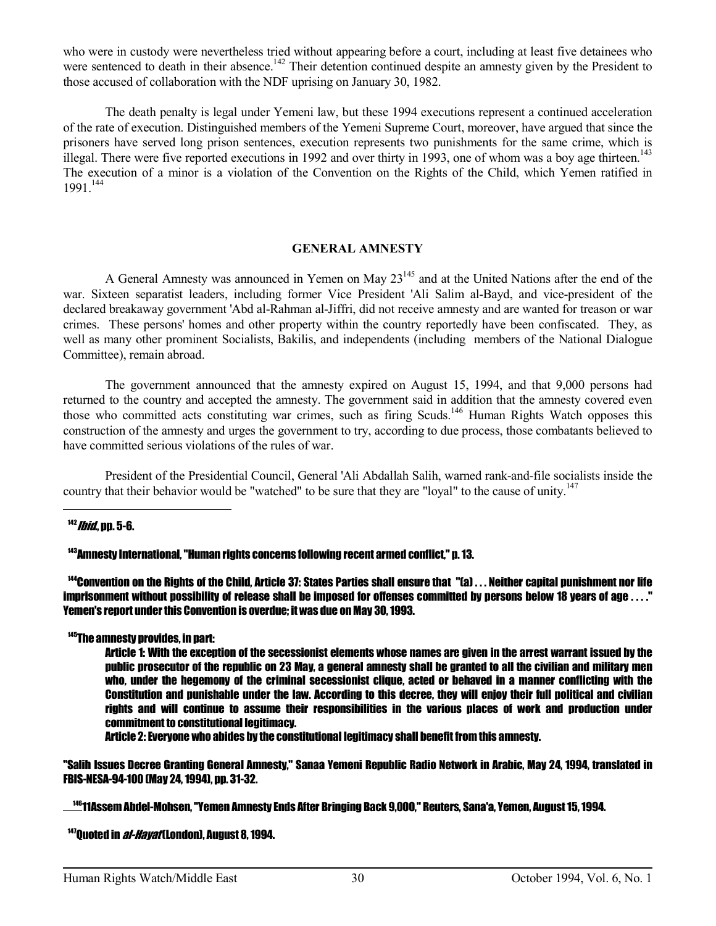who were in custody were nevertheless tried without appearing before a court, including at least five detainees who were sentenced to death in their absence.<sup>142</sup> Their detention continued despite an amnesty given by the President to those accused of collaboration with the NDF uprising on January 30, 1982.

 The death penalty is legal under Yemeni law, but these 1994 executions represent a continued acceleration of the rate of execution. Distinguished members of the Yemeni Supreme Court, moreover, have argued that since the prisoners have served long prison sentences, execution represents two punishments for the same crime, which is illegal. There were five reported executions in 1992 and over thirty in 1993, one of whom was a boy age thirteen.<sup>143</sup> The execution of a minor is a violation of the Convention on the Rights of the Child, which Yemen ratified in 1991.<sup>144</sup>

#### **GENERAL AMNESTY**

A General Amnesty was announced in Yemen on May 23<sup>145</sup> and at the United Nations after the end of the war. Sixteen separatist leaders, including former Vice President 'Ali Salim al-Bayd, and vice-president of the declared breakaway government 'Abd al-Rahman al-Jiffri, did not receive amnesty and are wanted for treason or war crimes. These persons' homes and other property within the country reportedly have been confiscated. They, as well as many other prominent Socialists, Bakilis, and independents (including members of the National Dialogue Committee), remain abroad.

 The government announced that the amnesty expired on August 15, 1994, and that 9,000 persons had returned to the country and accepted the amnesty. The government said in addition that the amnesty covered even those who committed acts constituting war crimes, such as firing Scuds.<sup>146</sup> Human Rights Watch opposes this construction of the amnesty and urges the government to try, according to due process, those combatants believed to have committed serious violations of the rules of war.

 President of the Presidential Council, General 'Ali Abdallah Salih, warned rank-and-file socialists inside the country that their behavior would be "watched" to be sure that they are "loyal" to the cause of unity.<sup>147</sup>

#### $142$  *Ibid*., pp. 5-6.

 $\overline{a}$ 

 $\overline{a}$ 

#### <sup>143</sup>Amnesty International, "Human rights concerns following recent armed conflict," p. 13.

 $144$ Convention on the Rights of the Child. Article 37: States Parties shall ensure that "(a)  $\dots$  Neither capital punishment nor life imprisonment without possibility of release shall be imposed for offenses committed by persons below 18 years of age . . . ." Yemen's report under this Convention is overdue; it was due on May 30, 1993.

#### <sup>145</sup>The amnesty provides, in part:

 Article 1: With the exception of the secessionist elements whose names are given in the arrest warrant issued by the public prosecutor of the republic on 23 May, a general amnesty shall be granted to all the civilian and military men who, under the hegemony of the criminal secessionist clique, acted or behaved in a manner conflicting with the Constitution and punishable under the law. According to this decree, they will enjoy their full political and civilian rights and will continue to assume their responsibilities in the various places of work and production under commitment to constitutional legitimacy.

Article 2: Everyone who abides by the constitutional legitimacy shall benefit from this amnesty.

"Salih Issues Decree Granting General Amnesty," Sanaa Yemeni Republic Radio Network in Arabic, May 24, 1994, translated in FBIS-NESA-94-100 (May 24, 1994), pp. 31-32.

<sup>146</sup>11Assem Abdel-Mohsen, "Yemen Amnesty Ends After Bringing Back 9,000," Reuters, Sana'a, Yemen, August 15, 1994.

 $147$ Quoted in *al-Hayat* (London), August 8, 1994.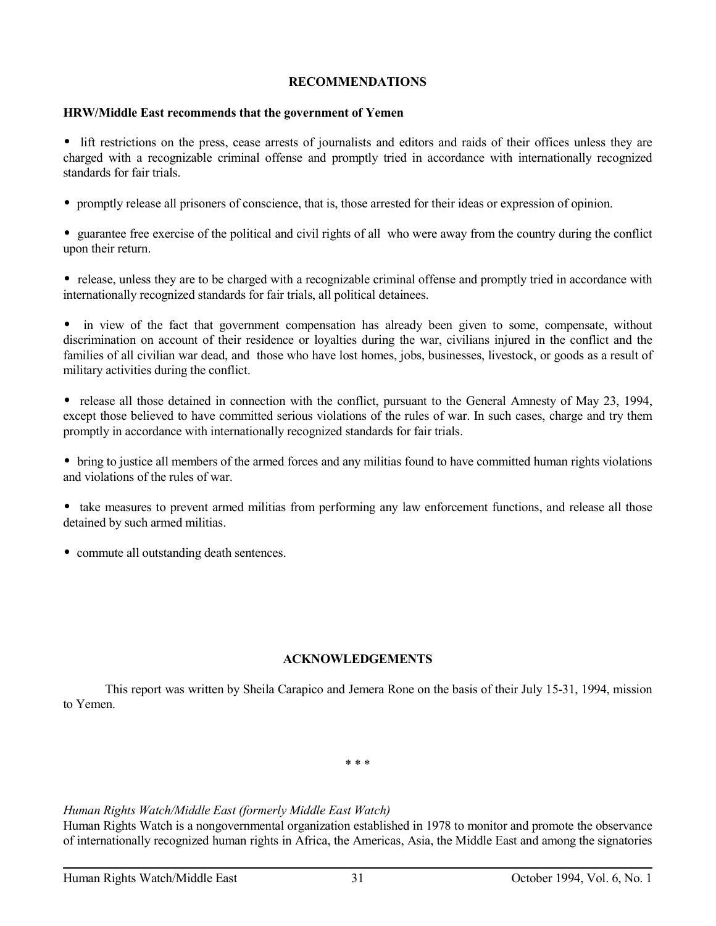## **RECOMMENDATIONS**

## **HRW/Middle East recommends that the government of Yemen**

• lift restrictions on the press, cease arrests of journalists and editors and raids of their offices unless they are charged with a recognizable criminal offense and promptly tried in accordance with internationally recognized standards for fair trials.

• promptly release all prisoners of conscience, that is, those arrested for their ideas or expression of opinion.

• guarantee free exercise of the political and civil rights of all who were away from the country during the conflict upon their return.

• release, unless they are to be charged with a recognizable criminal offense and promptly tried in accordance with internationally recognized standards for fair trials, all political detainees.

• in view of the fact that government compensation has already been given to some, compensate, without discrimination on account of their residence or loyalties during the war, civilians injured in the conflict and the families of all civilian war dead, and those who have lost homes, jobs, businesses, livestock, or goods as a result of military activities during the conflict.

• release all those detained in connection with the conflict, pursuant to the General Amnesty of May 23, 1994, except those believed to have committed serious violations of the rules of war. In such cases, charge and try them promptly in accordance with internationally recognized standards for fair trials.

• bring to justice all members of the armed forces and any militias found to have committed human rights violations and violations of the rules of war.

• take measures to prevent armed militias from performing any law enforcement functions, and release all those detained by such armed militias.

• commute all outstanding death sentences.

## **ACKNOWLEDGEMENTS**

 This report was written by Sheila Carapico and Jemera Rone on the basis of their July 15-31, 1994, mission to Yemen.

\* \* \*

## *Human Rights Watch/Middle East (formerly Middle East Watch)*

Human Rights Watch is a nongovernmental organization established in 1978 to monitor and promote the observance of internationally recognized human rights in Africa, the Americas, Asia, the Middle East and among the signatories